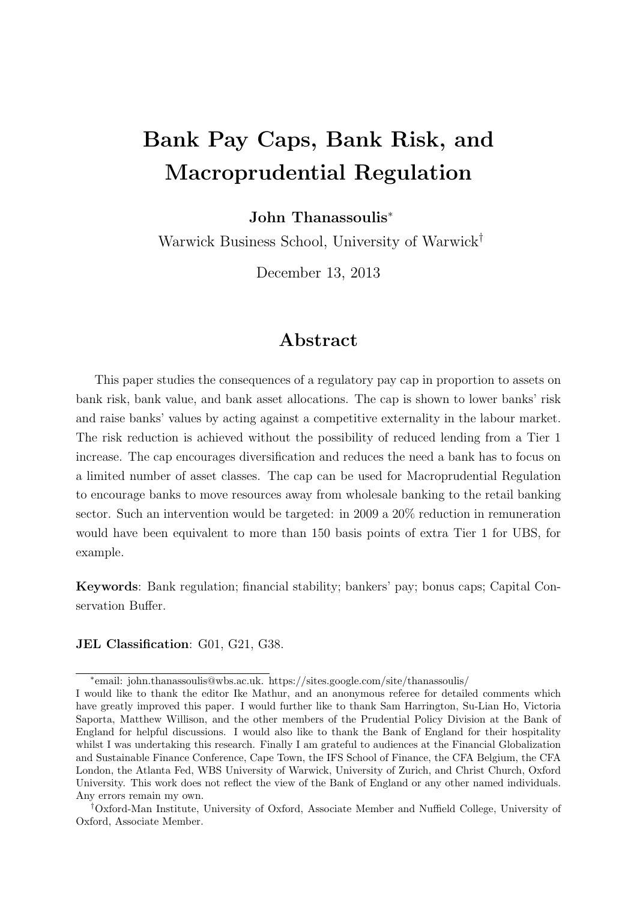# Bank Pay Caps, Bank Risk, and Macroprudential Regulation

John Thanassoulis<sup>∗</sup>

Warwick Business School, University of Warwick†

December 13, 2013

### Abstract

This paper studies the consequences of a regulatory pay cap in proportion to assets on bank risk, bank value, and bank asset allocations. The cap is shown to lower banks' risk and raise banks' values by acting against a competitive externality in the labour market. The risk reduction is achieved without the possibility of reduced lending from a Tier 1 increase. The cap encourages diversification and reduces the need a bank has to focus on a limited number of asset classes. The cap can be used for Macroprudential Regulation to encourage banks to move resources away from wholesale banking to the retail banking sector. Such an intervention would be targeted: in 2009 a 20% reduction in remuneration would have been equivalent to more than 150 basis points of extra Tier 1 for UBS, for example.

Keywords: Bank regulation; financial stability; bankers' pay; bonus caps; Capital Conservation Buffer.

JEL Classification: G01, G21, G38.

<sup>∗</sup> email: john.thanassoulis@wbs.ac.uk. https://sites.google.com/site/thanassoulis/

I would like to thank the editor Ike Mathur, and an anonymous referee for detailed comments which have greatly improved this paper. I would further like to thank Sam Harrington, Su-Lian Ho, Victoria Saporta, Matthew Willison, and the other members of the Prudential Policy Division at the Bank of England for helpful discussions. I would also like to thank the Bank of England for their hospitality whilst I was undertaking this research. Finally I am grateful to audiences at the Financial Globalization and Sustainable Finance Conference, Cape Town, the IFS School of Finance, the CFA Belgium, the CFA London, the Atlanta Fed, WBS University of Warwick, University of Zurich, and Christ Church, Oxford University. This work does not reflect the view of the Bank of England or any other named individuals. Any errors remain my own.

<sup>†</sup>Oxford-Man Institute, University of Oxford, Associate Member and Nuffield College, University of Oxford, Associate Member.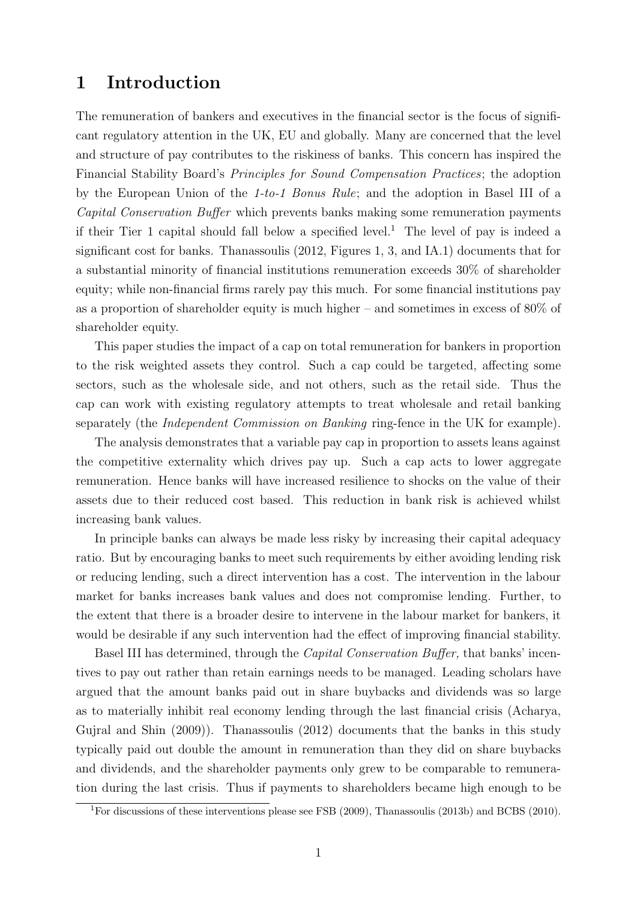### 1 Introduction

The remuneration of bankers and executives in the financial sector is the focus of significant regulatory attention in the UK, EU and globally. Many are concerned that the level and structure of pay contributes to the riskiness of banks. This concern has inspired the Financial Stability Board's Principles for Sound Compensation Practices; the adoption by the European Union of the 1-to-1 Bonus Rule; and the adoption in Basel III of a Capital Conservation Buffer which prevents banks making some remuneration payments if their Tier 1 capital should fall below a specified level.<sup>1</sup> The level of pay is indeed a significant cost for banks. Thanassoulis (2012, Figures 1, 3, and IA.1) documents that for a substantial minority of financial institutions remuneration exceeds 30% of shareholder equity; while non-financial firms rarely pay this much. For some financial institutions pay as a proportion of shareholder equity is much higher – and sometimes in excess of 80% of shareholder equity.

This paper studies the impact of a cap on total remuneration for bankers in proportion to the risk weighted assets they control. Such a cap could be targeted, affecting some sectors, such as the wholesale side, and not others, such as the retail side. Thus the cap can work with existing regulatory attempts to treat wholesale and retail banking separately (the Independent Commission on Banking ring-fence in the UK for example).

The analysis demonstrates that a variable pay cap in proportion to assets leans against the competitive externality which drives pay up. Such a cap acts to lower aggregate remuneration. Hence banks will have increased resilience to shocks on the value of their assets due to their reduced cost based. This reduction in bank risk is achieved whilst increasing bank values.

In principle banks can always be made less risky by increasing their capital adequacy ratio. But by encouraging banks to meet such requirements by either avoiding lending risk or reducing lending, such a direct intervention has a cost. The intervention in the labour market for banks increases bank values and does not compromise lending. Further, to the extent that there is a broader desire to intervene in the labour market for bankers, it would be desirable if any such intervention had the effect of improving financial stability.

Basel III has determined, through the Capital Conservation Buffer, that banks' incentives to pay out rather than retain earnings needs to be managed. Leading scholars have argued that the amount banks paid out in share buybacks and dividends was so large as to materially inhibit real economy lending through the last financial crisis (Acharya, Gujral and Shin (2009)). Thanassoulis (2012) documents that the banks in this study typically paid out double the amount in remuneration than they did on share buybacks and dividends, and the shareholder payments only grew to be comparable to remuneration during the last crisis. Thus if payments to shareholders became high enough to be

<sup>1</sup>For discussions of these interventions please see FSB (2009), Thanassoulis (2013b) and BCBS (2010).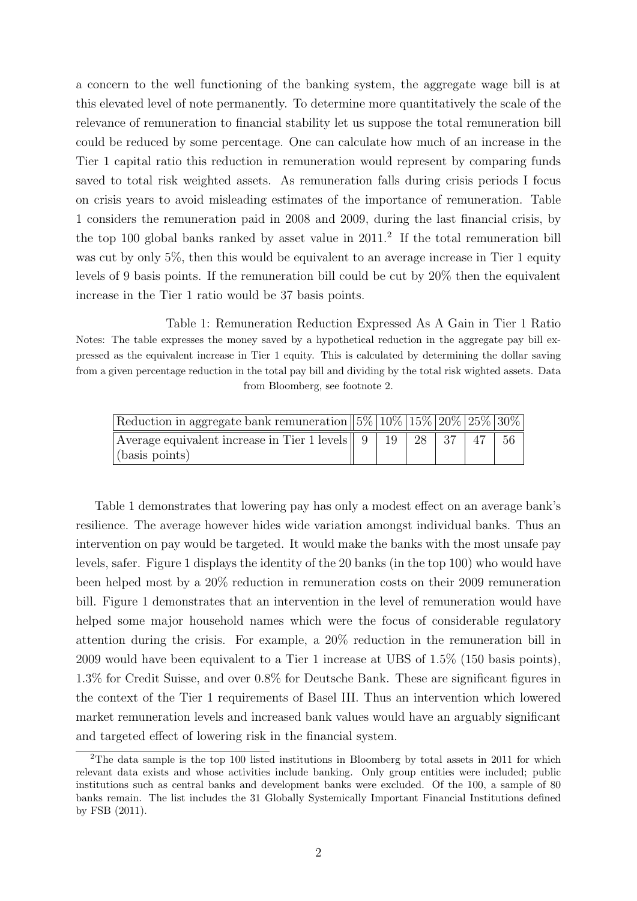a concern to the well functioning of the banking system, the aggregate wage bill is at this elevated level of note permanently. To determine more quantitatively the scale of the relevance of remuneration to financial stability let us suppose the total remuneration bill could be reduced by some percentage. One can calculate how much of an increase in the Tier 1 capital ratio this reduction in remuneration would represent by comparing funds saved to total risk weighted assets. As remuneration falls during crisis periods I focus on crisis years to avoid misleading estimates of the importance of remuneration. Table 1 considers the remuneration paid in 2008 and 2009, during the last financial crisis, by the top 100 global banks ranked by asset value in  $2011<sup>2</sup>$  If the total remuneration bill was cut by only 5%, then this would be equivalent to an average increase in Tier 1 equity levels of 9 basis points. If the remuneration bill could be cut by 20% then the equivalent increase in the Tier 1 ratio would be 37 basis points.

Table 1: Remuneration Reduction Expressed As A Gain in Tier 1 Ratio Notes: The table expresses the money saved by a hypothetical reduction in the aggregate pay bill expressed as the equivalent increase in Tier 1 equity. This is calculated by determining the dollar saving from a given percentage reduction in the total pay bill and dividing by the total risk wighted assets. Data from Bloomberg, see footnote 2.

| Reduction in aggregate bank remuneration $  5\%  10\%  15\%  20\%  25\%  30\%  $                        |  |    |       |    |
|---------------------------------------------------------------------------------------------------------|--|----|-------|----|
| Average equivalent increase in Tier 1 levels $\parallel 9 \parallel 19 \parallel$<br>$ $ (basis points) |  | 28 | $-37$ | 56 |

Table 1 demonstrates that lowering pay has only a modest effect on an average bank's resilience. The average however hides wide variation amongst individual banks. Thus an intervention on pay would be targeted. It would make the banks with the most unsafe pay levels, safer. Figure 1 displays the identity of the 20 banks (in the top 100) who would have been helped most by a 20% reduction in remuneration costs on their 2009 remuneration bill. Figure 1 demonstrates that an intervention in the level of remuneration would have helped some major household names which were the focus of considerable regulatory attention during the crisis. For example, a 20% reduction in the remuneration bill in 2009 would have been equivalent to a Tier 1 increase at UBS of 1.5% (150 basis points), 1.3% for Credit Suisse, and over 0.8% for Deutsche Bank. These are significant figures in the context of the Tier 1 requirements of Basel III. Thus an intervention which lowered market remuneration levels and increased bank values would have an arguably significant and targeted effect of lowering risk in the financial system.

<sup>&</sup>lt;sup>2</sup>The data sample is the top 100 listed institutions in Bloomberg by total assets in 2011 for which relevant data exists and whose activities include banking. Only group entities were included; public institutions such as central banks and development banks were excluded. Of the 100, a sample of 80 banks remain. The list includes the 31 Globally Systemically Important Financial Institutions defined by FSB (2011).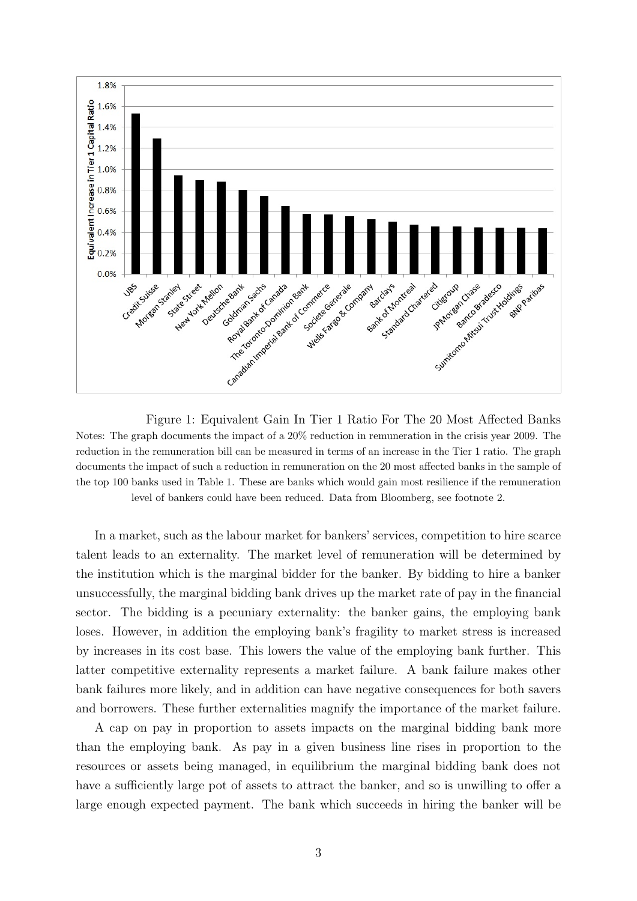

Figure 1: Equivalent Gain In Tier 1 Ratio For The 20 Most Affected Banks Notes: The graph documents the impact of a 20% reduction in remuneration in the crisis year 2009. The reduction in the remuneration bill can be measured in terms of an increase in the Tier 1 ratio. The graph documents the impact of such a reduction in remuneration on the 20 most affected banks in the sample of the top 100 banks used in Table 1. These are banks which would gain most resilience if the remuneration level of bankers could have been reduced. Data from Bloomberg, see footnote 2.

In a market, such as the labour market for bankers' services, competition to hire scarce talent leads to an externality. The market level of remuneration will be determined by the institution which is the marginal bidder for the banker. By bidding to hire a banker unsuccessfully, the marginal bidding bank drives up the market rate of pay in the financial sector. The bidding is a pecuniary externality: the banker gains, the employing bank loses. However, in addition the employing bank's fragility to market stress is increased by increases in its cost base. This lowers the value of the employing bank further. This latter competitive externality represents a market failure. A bank failure makes other bank failures more likely, and in addition can have negative consequences for both savers and borrowers. These further externalities magnify the importance of the market failure.

A cap on pay in proportion to assets impacts on the marginal bidding bank more than the employing bank. As pay in a given business line rises in proportion to the resources or assets being managed, in equilibrium the marginal bidding bank does not have a sufficiently large pot of assets to attract the banker, and so is unwilling to offer a large enough expected payment. The bank which succeeds in hiring the banker will be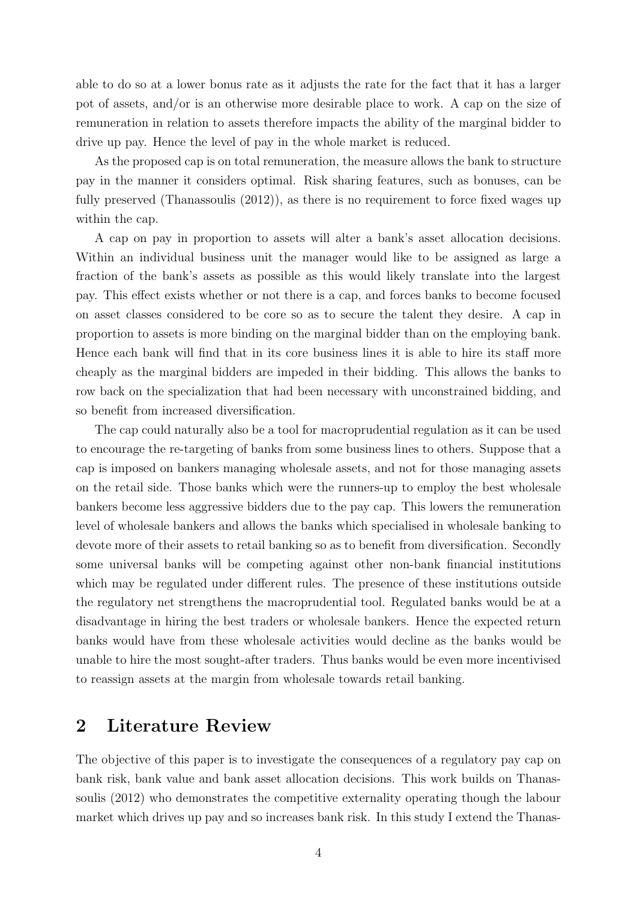able to do so at a lower bonus rate as it adjusts the rate for the fact that it has a larger pot of assets, and/or is an otherwise more desirable place to work. A cap on the size of remuneration in relation to assets therefore impacts the ability of the marginal bidder to drive up pay. Hence the level of pay in the whole market is reduced.

As the proposed cap is on total remuneration, the measure allows the bank to structure pay in the manner it considers optimal. Risk sharing features, such as bonuses, can be fully preserved (Thanassoulis (2012)), as there is no requirement to force fixed wages up within the cap.

A cap on pay in proportion to assets will alter a bank's asset allocation decisions. Within an individual business unit the manager would like to be assigned as large a fraction of the bank's assets as possible as this would likely translate into the largest pay. This effect exists whether or not there is a cap, and forces banks to become focused on asset classes considered to be core so as to secure the talent they desire. A cap in proportion to assets is more binding on the marginal bidder than on the employing bank. Hence each bank will find that in its core business lines it is able to hire its staff more cheaply as the marginal bidders are impeded in their bidding. This allows the banks to row back on the specialization that had been necessary with unconstrained bidding, and so benefit from increased diversification.

The cap could naturally also be a tool for macroprudential regulation as it can be used to encourage the re-targeting of banks from some business lines to others. Suppose that a cap is imposed on bankers managing wholesale assets, and not for those managing assets on the retail side. Those banks which were the runners-up to employ the best wholesale bankers become less aggressive bidders due to the pay cap. This lowers the remuneration level of wholesale bankers and allows the banks which specialised in wholesale banking to devote more of their assets to retail banking so as to benefit from diversification. Secondly some universal banks will be competing against other non-bank financial institutions which may be regulated under different rules. The presence of these institutions outside the regulatory net strengthens the macroprudential tool. Regulated banks would be at a disadvantage in hiring the best traders or wholesale bankers. Hence the expected return banks would have from these wholesale activities would decline as the banks would be unable to hire the most sought-after traders. Thus banks would be even more incentivised to reassign assets at the margin from wholesale towards retail banking.

### 2 Literature Review

The objective of this paper is to investigate the consequences of a regulatory pay cap on bank risk, bank value and bank asset allocation decisions. This work builds on Thanassoulis (2012) who demonstrates the competitive externality operating though the labour market which drives up pay and so increases bank risk. In this study I extend the Thanas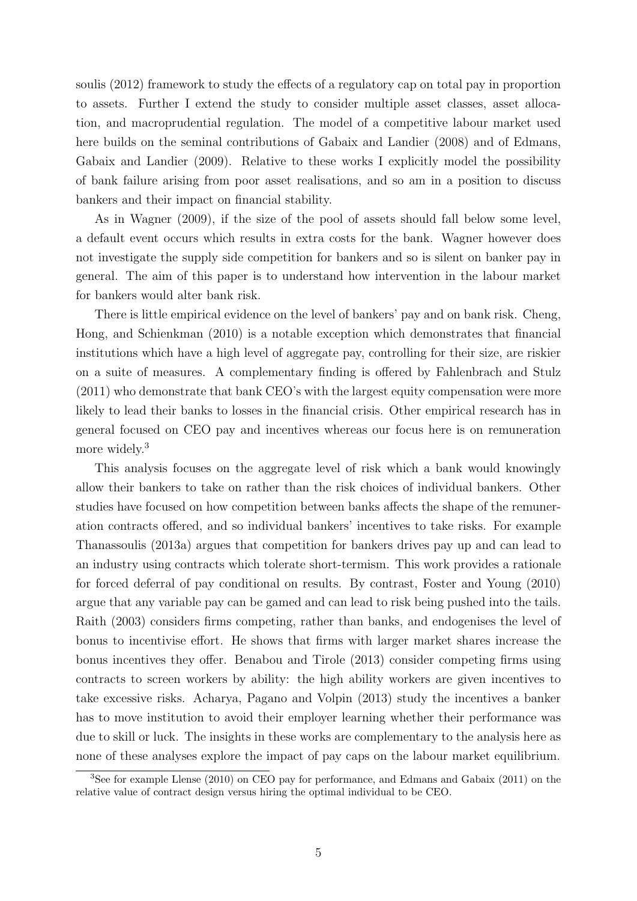soulis (2012) framework to study the effects of a regulatory cap on total pay in proportion to assets. Further I extend the study to consider multiple asset classes, asset allocation, and macroprudential regulation. The model of a competitive labour market used here builds on the seminal contributions of Gabaix and Landier (2008) and of Edmans, Gabaix and Landier (2009). Relative to these works I explicitly model the possibility of bank failure arising from poor asset realisations, and so am in a position to discuss bankers and their impact on financial stability.

As in Wagner (2009), if the size of the pool of assets should fall below some level, a default event occurs which results in extra costs for the bank. Wagner however does not investigate the supply side competition for bankers and so is silent on banker pay in general. The aim of this paper is to understand how intervention in the labour market for bankers would alter bank risk.

There is little empirical evidence on the level of bankers' pay and on bank risk. Cheng, Hong, and Schienkman (2010) is a notable exception which demonstrates that financial institutions which have a high level of aggregate pay, controlling for their size, are riskier on a suite of measures. A complementary finding is offered by Fahlenbrach and Stulz (2011) who demonstrate that bank CEO's with the largest equity compensation were more likely to lead their banks to losses in the financial crisis. Other empirical research has in general focused on CEO pay and incentives whereas our focus here is on remuneration more widely.<sup>3</sup>

This analysis focuses on the aggregate level of risk which a bank would knowingly allow their bankers to take on rather than the risk choices of individual bankers. Other studies have focused on how competition between banks affects the shape of the remuneration contracts offered, and so individual bankers' incentives to take risks. For example Thanassoulis (2013a) argues that competition for bankers drives pay up and can lead to an industry using contracts which tolerate short-termism. This work provides a rationale for forced deferral of pay conditional on results. By contrast, Foster and Young (2010) argue that any variable pay can be gamed and can lead to risk being pushed into the tails. Raith (2003) considers firms competing, rather than banks, and endogenises the level of bonus to incentivise effort. He shows that firms with larger market shares increase the bonus incentives they offer. Benabou and Tirole (2013) consider competing firms using contracts to screen workers by ability: the high ability workers are given incentives to take excessive risks. Acharya, Pagano and Volpin (2013) study the incentives a banker has to move institution to avoid their employer learning whether their performance was due to skill or luck. The insights in these works are complementary to the analysis here as none of these analyses explore the impact of pay caps on the labour market equilibrium.

<sup>3</sup>See for example Llense (2010) on CEO pay for performance, and Edmans and Gabaix (2011) on the relative value of contract design versus hiring the optimal individual to be CEO.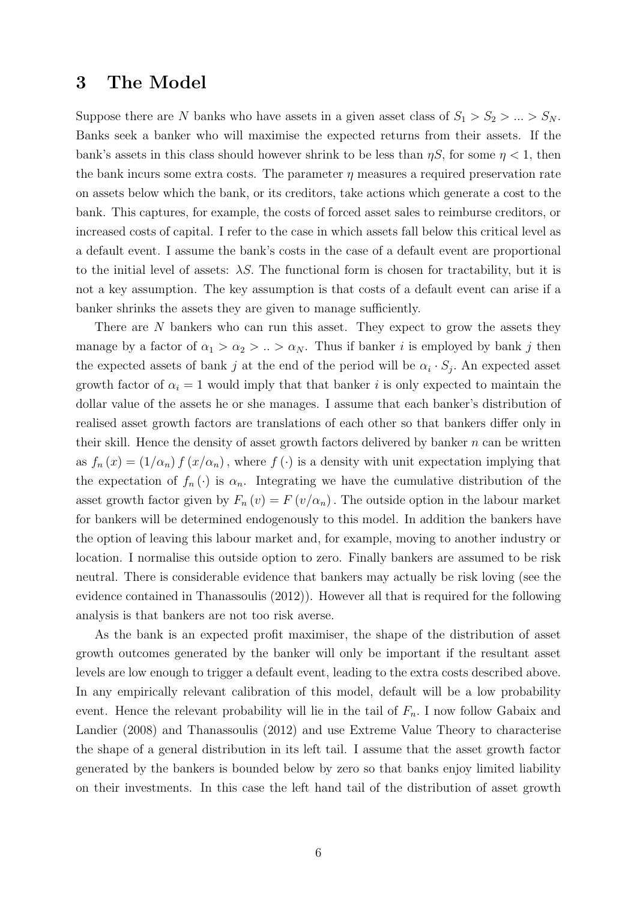#### 3 The Model

Suppose there are N banks who have assets in a given asset class of  $S_1 > S_2 > ... > S_N$ . Banks seek a banker who will maximise the expected returns from their assets. If the bank's assets in this class should however shrink to be less than  $\eta S$ , for some  $\eta < 1$ , then the bank incurs some extra costs. The parameter  $\eta$  measures a required preservation rate on assets below which the bank, or its creditors, take actions which generate a cost to the bank. This captures, for example, the costs of forced asset sales to reimburse creditors, or increased costs of capital. I refer to the case in which assets fall below this critical level as a default event. I assume the bank's costs in the case of a default event are proportional to the initial level of assets:  $\lambda S$ . The functional form is chosen for tractability, but it is not a key assumption. The key assumption is that costs of a default event can arise if a banker shrinks the assets they are given to manage sufficiently.

There are N bankers who can run this asset. They expect to grow the assets they manage by a factor of  $\alpha_1 > \alpha_2 > ... > \alpha_N$ . Thus if banker i is employed by bank j then the expected assets of bank j at the end of the period will be  $\alpha_i \cdot S_j$ . An expected asset growth factor of  $\alpha_i = 1$  would imply that that banker i is only expected to maintain the dollar value of the assets he or she manages. I assume that each banker's distribution of realised asset growth factors are translations of each other so that bankers differ only in their skill. Hence the density of asset growth factors delivered by banker  $n$  can be written as  $f_n(x) = (1/\alpha_n) f(x/\alpha_n)$ , where  $f(\cdot)$  is a density with unit expectation implying that the expectation of  $f_n(\cdot)$  is  $\alpha_n$ . Integrating we have the cumulative distribution of the asset growth factor given by  $F_n(v) = F(v/\alpha_n)$ . The outside option in the labour market for bankers will be determined endogenously to this model. In addition the bankers have the option of leaving this labour market and, for example, moving to another industry or location. I normalise this outside option to zero. Finally bankers are assumed to be risk neutral. There is considerable evidence that bankers may actually be risk loving (see the evidence contained in Thanassoulis (2012)). However all that is required for the following analysis is that bankers are not too risk averse.

As the bank is an expected profit maximiser, the shape of the distribution of asset growth outcomes generated by the banker will only be important if the resultant asset levels are low enough to trigger a default event, leading to the extra costs described above. In any empirically relevant calibration of this model, default will be a low probability event. Hence the relevant probability will lie in the tail of  $F_n$ . I now follow Gabaix and Landier (2008) and Thanassoulis (2012) and use Extreme Value Theory to characterise the shape of a general distribution in its left tail. I assume that the asset growth factor generated by the bankers is bounded below by zero so that banks enjoy limited liability on their investments. In this case the left hand tail of the distribution of asset growth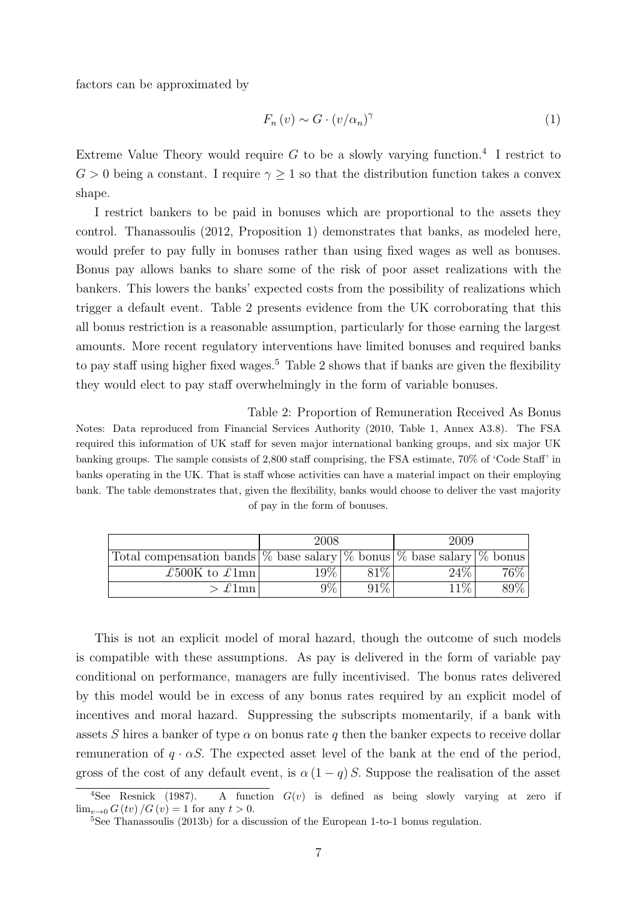factors can be approximated by

$$
F_n(v) \sim G \cdot (v/\alpha_n)^{\gamma} \tag{1}
$$

Extreme Value Theory would require  $G$  to be a slowly varying function.<sup>4</sup> I restrict to  $G > 0$  being a constant. I require  $\gamma \geq 1$  so that the distribution function takes a convex shape.

I restrict bankers to be paid in bonuses which are proportional to the assets they control. Thanassoulis (2012, Proposition 1) demonstrates that banks, as modeled here, would prefer to pay fully in bonuses rather than using fixed wages as well as bonuses. Bonus pay allows banks to share some of the risk of poor asset realizations with the bankers. This lowers the banks' expected costs from the possibility of realizations which trigger a default event. Table 2 presents evidence from the UK corroborating that this all bonus restriction is a reasonable assumption, particularly for those earning the largest amounts. More recent regulatory interventions have limited bonuses and required banks to pay staff using higher fixed wages.<sup>5</sup> Table 2 shows that if banks are given the flexibility they would elect to pay staff overwhelmingly in the form of variable bonuses.

Table 2: Proportion of Remuneration Received As Bonus

Notes: Data reproduced from Financial Services Authority (2010, Table 1, Annex A3.8). The FSA required this information of UK staff for seven major international banking groups, and six major UK banking groups. The sample consists of 2,800 staff comprising, the FSA estimate, 70% of 'Code Staff' in banks operating in the UK. That is staff whose activities can have a material impact on their employing bank. The table demonstrates that, given the flexibility, banks would choose to deliver the vast majority of pay in the form of bonuses.

|                                                                                  | 2008  |     | 2009   |        |  |
|----------------------------------------------------------------------------------|-------|-----|--------|--------|--|
| Total compensation bands $\%$ base salary $\%$ bonus $\%$ base salary $\%$ bonus |       |     |        |        |  |
| £500K to £1mn                                                                    | 19%   | 81% | $24\%$ | $76\%$ |  |
| $\geq \pounds 1$ mn                                                              | $9\%$ | 91% | $11\%$ | 89%    |  |

This is not an explicit model of moral hazard, though the outcome of such models is compatible with these assumptions. As pay is delivered in the form of variable pay conditional on performance, managers are fully incentivised. The bonus rates delivered by this model would be in excess of any bonus rates required by an explicit model of incentives and moral hazard. Suppressing the subscripts momentarily, if a bank with assets S hires a banker of type  $\alpha$  on bonus rate q then the banker expects to receive dollar remuneration of  $q \cdot \alpha S$ . The expected asset level of the bank at the end of the period, gross of the cost of any default event, is  $\alpha(1-q)$  S. Suppose the realisation of the asset

<sup>&</sup>lt;sup>4</sup>See Resnick (1987). A function  $G(v)$  is defined as being slowly varying at zero if  $\lim_{v\to 0} G(tv)/G(v) = 1$  for any  $t > 0$ .

<sup>5</sup>See Thanassoulis (2013b) for a discussion of the European 1-to-1 bonus regulation.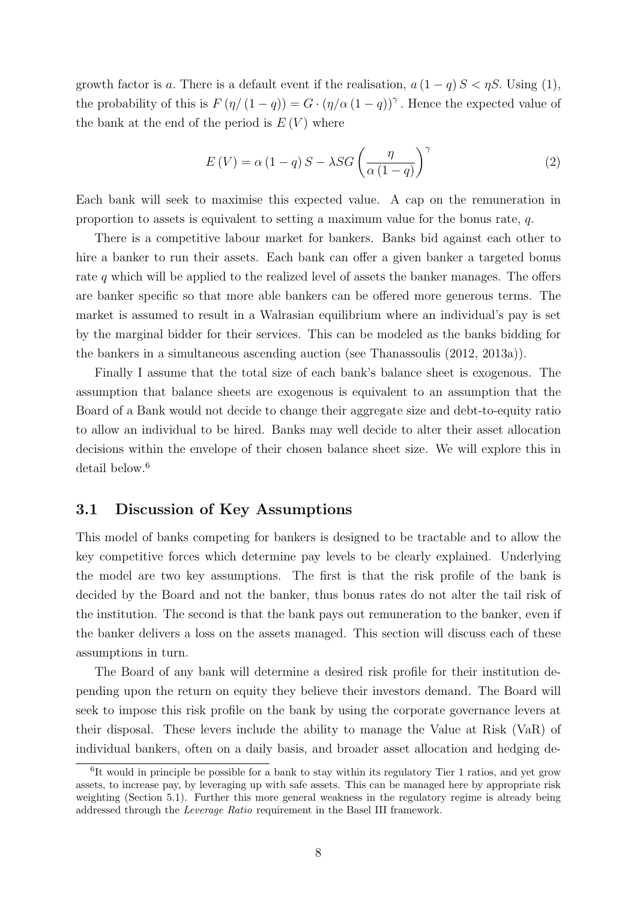growth factor is a. There is a default event if the realisation,  $a(1-q)S < \eta S$ . Using (1), the probability of this is  $F(\eta/(1-q)) = G \cdot (\eta/\alpha (1-q))^{\gamma}$ . Hence the expected value of the bank at the end of the period is  $E(V)$  where

$$
E(V) = \alpha (1 - q) S - \lambda SG \left(\frac{\eta}{\alpha (1 - q)}\right)^{\gamma}
$$
 (2)

Each bank will seek to maximise this expected value. A cap on the remuneration in proportion to assets is equivalent to setting a maximum value for the bonus rate, q.

There is a competitive labour market for bankers. Banks bid against each other to hire a banker to run their assets. Each bank can offer a given banker a targeted bonus rate q which will be applied to the realized level of assets the banker manages. The offers are banker specific so that more able bankers can be offered more generous terms. The market is assumed to result in a Walrasian equilibrium where an individual's pay is set by the marginal bidder for their services. This can be modeled as the banks bidding for the bankers in a simultaneous ascending auction (see Thanassoulis (2012, 2013a)).

Finally I assume that the total size of each bank's balance sheet is exogenous. The assumption that balance sheets are exogenous is equivalent to an assumption that the Board of a Bank would not decide to change their aggregate size and debt-to-equity ratio to allow an individual to be hired. Banks may well decide to alter their asset allocation decisions within the envelope of their chosen balance sheet size. We will explore this in detail below.<sup>6</sup>

#### 3.1 Discussion of Key Assumptions

This model of banks competing for bankers is designed to be tractable and to allow the key competitive forces which determine pay levels to be clearly explained. Underlying the model are two key assumptions. The first is that the risk profile of the bank is decided by the Board and not the banker, thus bonus rates do not alter the tail risk of the institution. The second is that the bank pays out remuneration to the banker, even if the banker delivers a loss on the assets managed. This section will discuss each of these assumptions in turn.

The Board of any bank will determine a desired risk profile for their institution depending upon the return on equity they believe their investors demand. The Board will seek to impose this risk profile on the bank by using the corporate governance levers at their disposal. These levers include the ability to manage the Value at Risk (VaR) of individual bankers, often on a daily basis, and broader asset allocation and hedging de-

<sup>&</sup>lt;sup>6</sup>It would in principle be possible for a bank to stay within its regulatory Tier 1 ratios, and yet grow assets, to increase pay, by leveraging up with safe assets. This can be managed here by appropriate risk weighting (Section 5.1). Further this more general weakness in the regulatory regime is already being addressed through the Leverage Ratio requirement in the Basel III framework.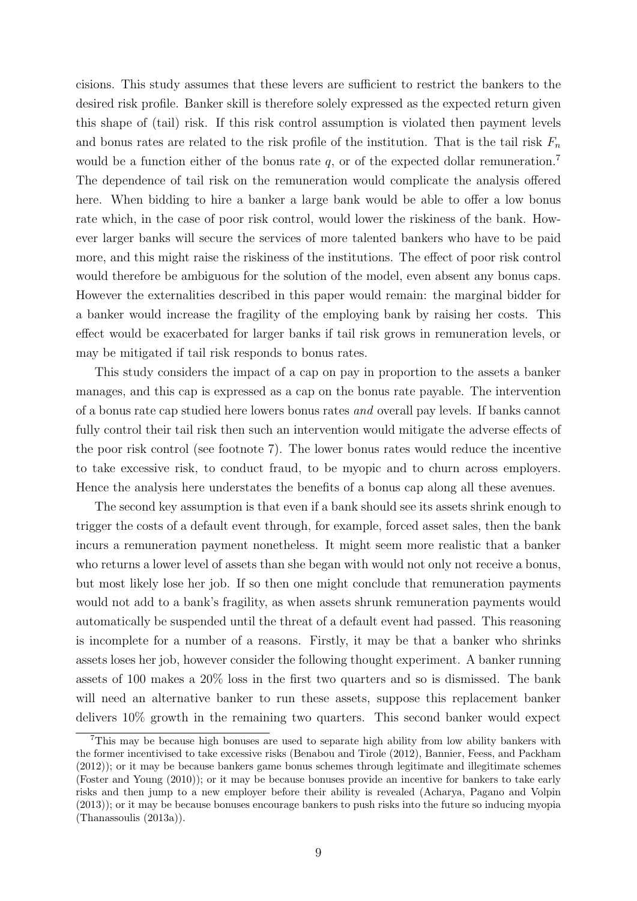cisions. This study assumes that these levers are sufficient to restrict the bankers to the desired risk profile. Banker skill is therefore solely expressed as the expected return given this shape of (tail) risk. If this risk control assumption is violated then payment levels and bonus rates are related to the risk profile of the institution. That is the tail risk  $F_n$ would be a function either of the bonus rate q, or of the expected dollar remuneration.<sup>7</sup> The dependence of tail risk on the remuneration would complicate the analysis offered here. When bidding to hire a banker a large bank would be able to offer a low bonus rate which, in the case of poor risk control, would lower the riskiness of the bank. However larger banks will secure the services of more talented bankers who have to be paid more, and this might raise the riskiness of the institutions. The effect of poor risk control would therefore be ambiguous for the solution of the model, even absent any bonus caps. However the externalities described in this paper would remain: the marginal bidder for a banker would increase the fragility of the employing bank by raising her costs. This effect would be exacerbated for larger banks if tail risk grows in remuneration levels, or may be mitigated if tail risk responds to bonus rates.

This study considers the impact of a cap on pay in proportion to the assets a banker manages, and this cap is expressed as a cap on the bonus rate payable. The intervention of a bonus rate cap studied here lowers bonus rates and overall pay levels. If banks cannot fully control their tail risk then such an intervention would mitigate the adverse effects of the poor risk control (see footnote 7). The lower bonus rates would reduce the incentive to take excessive risk, to conduct fraud, to be myopic and to churn across employers. Hence the analysis here understates the benefits of a bonus cap along all these avenues.

The second key assumption is that even if a bank should see its assets shrink enough to trigger the costs of a default event through, for example, forced asset sales, then the bank incurs a remuneration payment nonetheless. It might seem more realistic that a banker who returns a lower level of assets than she began with would not only not receive a bonus, but most likely lose her job. If so then one might conclude that remuneration payments would not add to a bank's fragility, as when assets shrunk remuneration payments would automatically be suspended until the threat of a default event had passed. This reasoning is incomplete for a number of a reasons. Firstly, it may be that a banker who shrinks assets loses her job, however consider the following thought experiment. A banker running assets of 100 makes a 20% loss in the first two quarters and so is dismissed. The bank will need an alternative banker to run these assets, suppose this replacement banker delivers 10% growth in the remaining two quarters. This second banker would expect

<sup>7</sup>This may be because high bonuses are used to separate high ability from low ability bankers with the former incentivised to take excessive risks (Benabou and Tirole (2012), Bannier, Feess, and Packham (2012)); or it may be because bankers game bonus schemes through legitimate and illegitimate schemes (Foster and Young (2010)); or it may be because bonuses provide an incentive for bankers to take early risks and then jump to a new employer before their ability is revealed (Acharya, Pagano and Volpin (2013)); or it may be because bonuses encourage bankers to push risks into the future so inducing myopia (Thanassoulis (2013a)).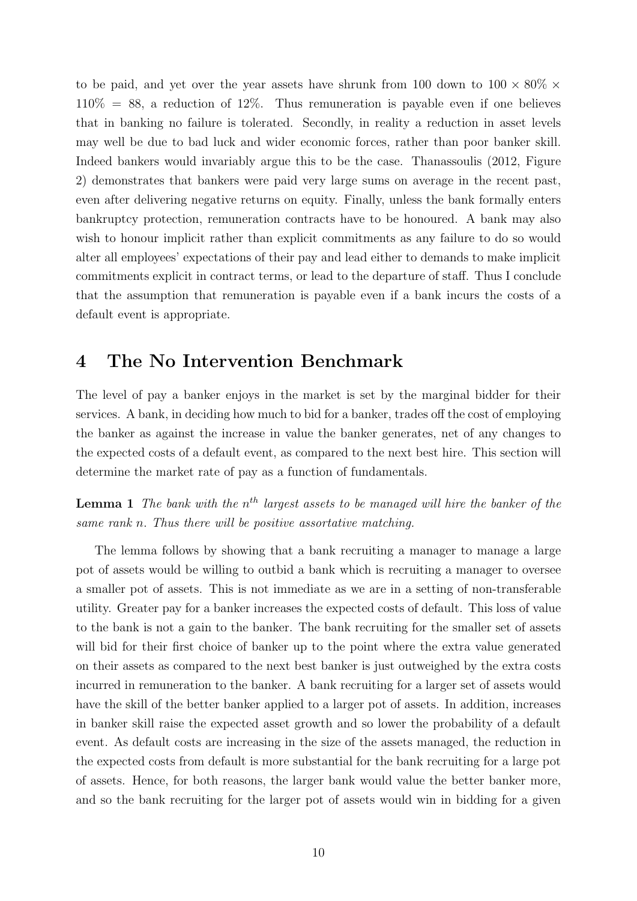to be paid, and yet over the year assets have shrunk from 100 down to  $100 \times 80\%$   $\times$  $110\% = 88$ , a reduction of  $12\%$ . Thus remuneration is payable even if one believes that in banking no failure is tolerated. Secondly, in reality a reduction in asset levels may well be due to bad luck and wider economic forces, rather than poor banker skill. Indeed bankers would invariably argue this to be the case. Thanassoulis (2012, Figure 2) demonstrates that bankers were paid very large sums on average in the recent past, even after delivering negative returns on equity. Finally, unless the bank formally enters bankruptcy protection, remuneration contracts have to be honoured. A bank may also wish to honour implicit rather than explicit commitments as any failure to do so would alter all employees' expectations of their pay and lead either to demands to make implicit commitments explicit in contract terms, or lead to the departure of staff. Thus I conclude that the assumption that remuneration is payable even if a bank incurs the costs of a default event is appropriate.

#### 4 The No Intervention Benchmark

The level of pay a banker enjoys in the market is set by the marginal bidder for their services. A bank, in deciding how much to bid for a banker, trades off the cost of employing the banker as against the increase in value the banker generates, net of any changes to the expected costs of a default event, as compared to the next best hire. This section will determine the market rate of pay as a function of fundamentals.

**Lemma 1** The bank with the  $n<sup>th</sup>$  largest assets to be managed will hire the banker of the same rank n. Thus there will be positive assortative matching.

The lemma follows by showing that a bank recruiting a manager to manage a large pot of assets would be willing to outbid a bank which is recruiting a manager to oversee a smaller pot of assets. This is not immediate as we are in a setting of non-transferable utility. Greater pay for a banker increases the expected costs of default. This loss of value to the bank is not a gain to the banker. The bank recruiting for the smaller set of assets will bid for their first choice of banker up to the point where the extra value generated on their assets as compared to the next best banker is just outweighed by the extra costs incurred in remuneration to the banker. A bank recruiting for a larger set of assets would have the skill of the better banker applied to a larger pot of assets. In addition, increases in banker skill raise the expected asset growth and so lower the probability of a default event. As default costs are increasing in the size of the assets managed, the reduction in the expected costs from default is more substantial for the bank recruiting for a large pot of assets. Hence, for both reasons, the larger bank would value the better banker more, and so the bank recruiting for the larger pot of assets would win in bidding for a given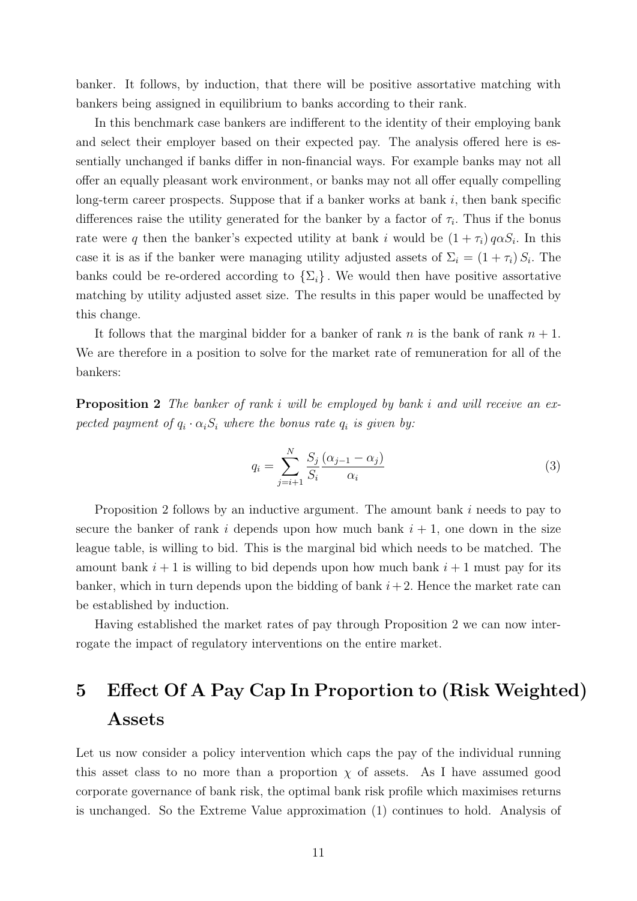banker. It follows, by induction, that there will be positive assortative matching with bankers being assigned in equilibrium to banks according to their rank.

In this benchmark case bankers are indifferent to the identity of their employing bank and select their employer based on their expected pay. The analysis offered here is essentially unchanged if banks differ in non-financial ways. For example banks may not all offer an equally pleasant work environment, or banks may not all offer equally compelling long-term career prospects. Suppose that if a banker works at bank  $i$ , then bank specific differences raise the utility generated for the banker by a factor of  $\tau_i$ . Thus if the bonus rate were q then the banker's expected utility at bank i would be  $(1 + \tau_i) q \alpha S_i$ . In this case it is as if the banker were managing utility adjusted assets of  $\Sigma_i = (1 + \tau_i) S_i$ . The banks could be re-ordered according to  $\{\Sigma_i\}$ . We would then have positive assortative matching by utility adjusted asset size. The results in this paper would be unaffected by this change.

It follows that the marginal bidder for a banker of rank n is the bank of rank  $n + 1$ . We are therefore in a position to solve for the market rate of remuneration for all of the bankers:

**Proposition 2** The banker of rank i will be employed by bank i and will receive an expected payment of  $q_i \cdot \alpha_i S_i$  where the bonus rate  $q_i$  is given by:

$$
q_i = \sum_{j=i+1}^{N} \frac{S_j}{S_i} \frac{(\alpha_{j-1} - \alpha_j)}{\alpha_i} \tag{3}
$$

Proposition 2 follows by an inductive argument. The amount bank i needs to pay to secure the banker of rank i depends upon how much bank  $i + 1$ , one down in the size league table, is willing to bid. This is the marginal bid which needs to be matched. The amount bank  $i + 1$  is willing to bid depends upon how much bank  $i + 1$  must pay for its banker, which in turn depends upon the bidding of bank  $i+2$ . Hence the market rate can be established by induction.

Having established the market rates of pay through Proposition 2 we can now interrogate the impact of regulatory interventions on the entire market.

## 5 Effect Of A Pay Cap In Proportion to (Risk Weighted) Assets

Let us now consider a policy intervention which caps the pay of the individual running this asset class to no more than a proportion  $\chi$  of assets. As I have assumed good corporate governance of bank risk, the optimal bank risk profile which maximises returns is unchanged. So the Extreme Value approximation (1) continues to hold. Analysis of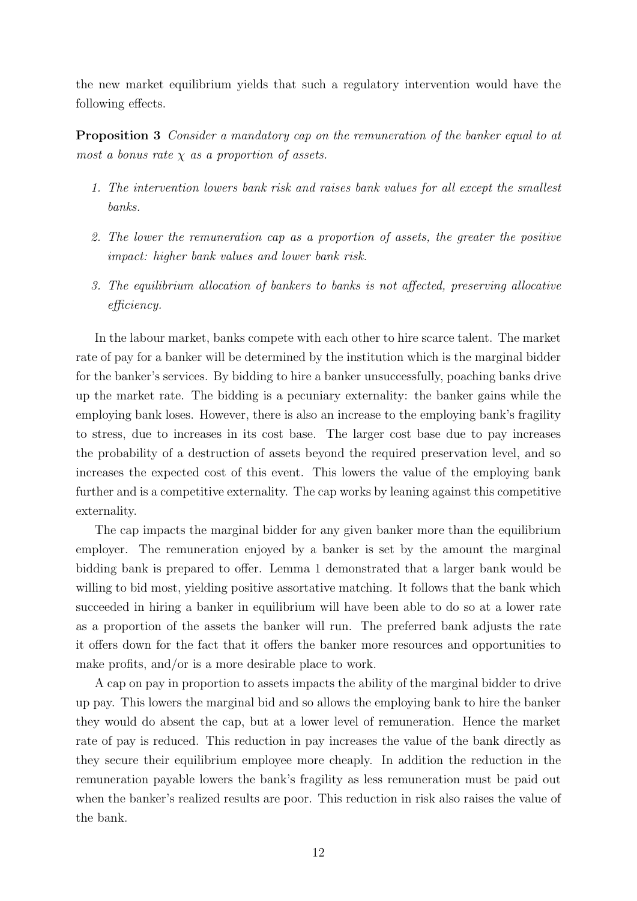the new market equilibrium yields that such a regulatory intervention would have the following effects.

Proposition 3 Consider a mandatory cap on the remuneration of the banker equal to at most a bonus rate  $\chi$  as a proportion of assets.

- 1. The intervention lowers bank risk and raises bank values for all except the smallest banks.
- 2. The lower the remuneration cap as a proportion of assets, the greater the positive impact: higher bank values and lower bank risk.
- 3. The equilibrium allocation of bankers to banks is not affected, preserving allocative efficiency.

In the labour market, banks compete with each other to hire scarce talent. The market rate of pay for a banker will be determined by the institution which is the marginal bidder for the banker's services. By bidding to hire a banker unsuccessfully, poaching banks drive up the market rate. The bidding is a pecuniary externality: the banker gains while the employing bank loses. However, there is also an increase to the employing bank's fragility to stress, due to increases in its cost base. The larger cost base due to pay increases the probability of a destruction of assets beyond the required preservation level, and so increases the expected cost of this event. This lowers the value of the employing bank further and is a competitive externality. The cap works by leaning against this competitive externality.

The cap impacts the marginal bidder for any given banker more than the equilibrium employer. The remuneration enjoyed by a banker is set by the amount the marginal bidding bank is prepared to offer. Lemma 1 demonstrated that a larger bank would be willing to bid most, yielding positive assortative matching. It follows that the bank which succeeded in hiring a banker in equilibrium will have been able to do so at a lower rate as a proportion of the assets the banker will run. The preferred bank adjusts the rate it offers down for the fact that it offers the banker more resources and opportunities to make profits, and/or is a more desirable place to work.

A cap on pay in proportion to assets impacts the ability of the marginal bidder to drive up pay. This lowers the marginal bid and so allows the employing bank to hire the banker they would do absent the cap, but at a lower level of remuneration. Hence the market rate of pay is reduced. This reduction in pay increases the value of the bank directly as they secure their equilibrium employee more cheaply. In addition the reduction in the remuneration payable lowers the bank's fragility as less remuneration must be paid out when the banker's realized results are poor. This reduction in risk also raises the value of the bank.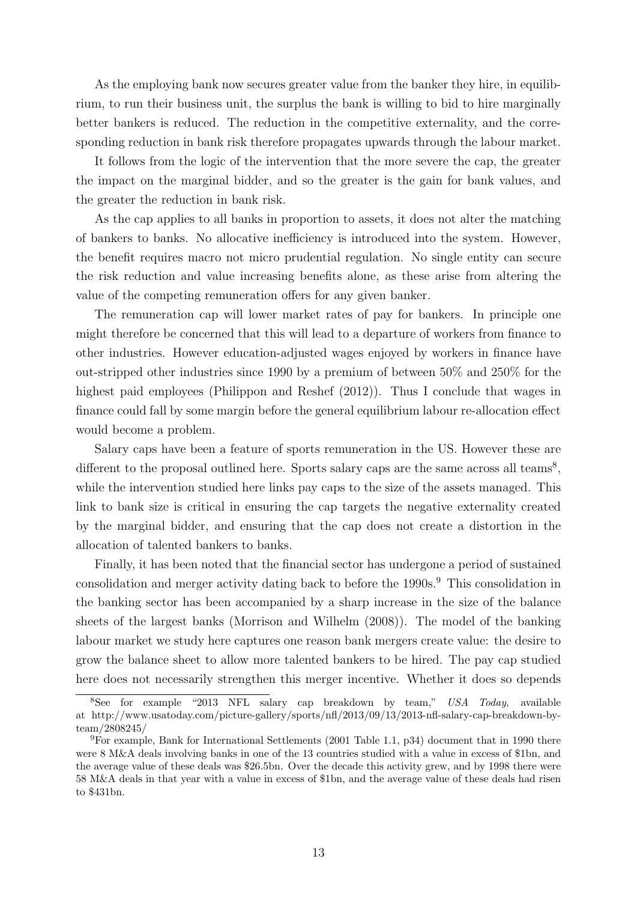As the employing bank now secures greater value from the banker they hire, in equilibrium, to run their business unit, the surplus the bank is willing to bid to hire marginally better bankers is reduced. The reduction in the competitive externality, and the corresponding reduction in bank risk therefore propagates upwards through the labour market.

It follows from the logic of the intervention that the more severe the cap, the greater the impact on the marginal bidder, and so the greater is the gain for bank values, and the greater the reduction in bank risk.

As the cap applies to all banks in proportion to assets, it does not alter the matching of bankers to banks. No allocative inefficiency is introduced into the system. However, the benefit requires macro not micro prudential regulation. No single entity can secure the risk reduction and value increasing benefits alone, as these arise from altering the value of the competing remuneration offers for any given banker.

The remuneration cap will lower market rates of pay for bankers. In principle one might therefore be concerned that this will lead to a departure of workers from finance to other industries. However education-adjusted wages enjoyed by workers in finance have out-stripped other industries since 1990 by a premium of between 50% and 250% for the highest paid employees (Philippon and Reshef  $(2012)$ ). Thus I conclude that wages in finance could fall by some margin before the general equilibrium labour re-allocation effect would become a problem.

Salary caps have been a feature of sports remuneration in the US. However these are different to the proposal outlined here. Sports salary caps are the same across all teams<sup>8</sup>, while the intervention studied here links pay caps to the size of the assets managed. This link to bank size is critical in ensuring the cap targets the negative externality created by the marginal bidder, and ensuring that the cap does not create a distortion in the allocation of talented bankers to banks.

Finally, it has been noted that the financial sector has undergone a period of sustained consolidation and merger activity dating back to before the 1990s.<sup>9</sup> This consolidation in the banking sector has been accompanied by a sharp increase in the size of the balance sheets of the largest banks (Morrison and Wilhelm (2008)). The model of the banking labour market we study here captures one reason bank mergers create value: the desire to grow the balance sheet to allow more talented bankers to be hired. The pay cap studied here does not necessarily strengthen this merger incentive. Whether it does so depends

 ${}^{8}$ See for example "2013 NFL salary cap breakdown by team," USA Today, available at http://www.usatoday.com/picture-gallery/sports/nfl/2013/09/13/2013-nfl-salary-cap-breakdown-byteam/2808245/

 $9F$ For example, Bank for International Settlements (2001 Table 1.1, p34) document that in 1990 there were 8 M&A deals involving banks in one of the 13 countries studied with a value in excess of \$1bn, and the average value of these deals was \$26.5bn. Over the decade this activity grew, and by 1998 there were 58 M&A deals in that year with a value in excess of \$1bn, and the average value of these deals had risen to \$431bn.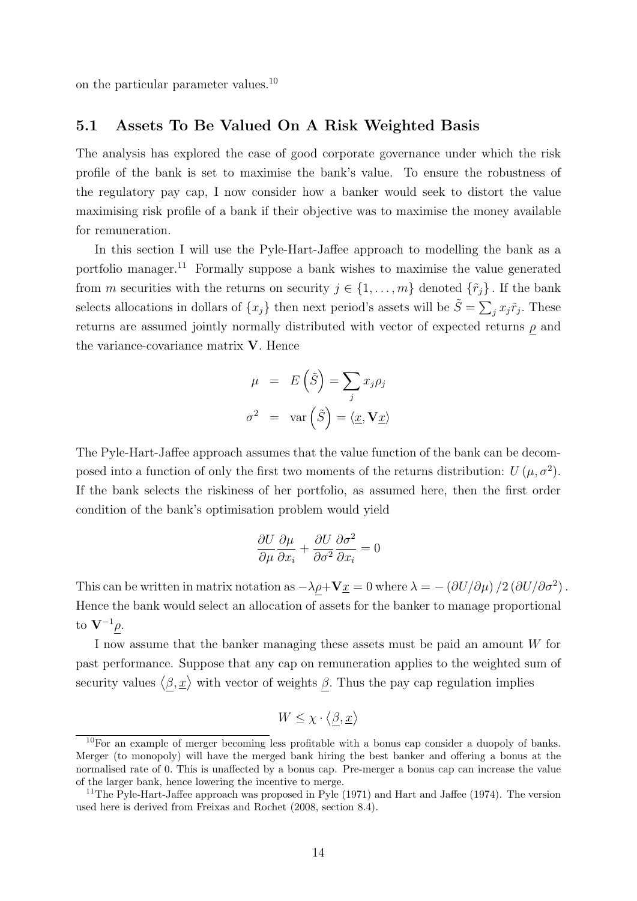on the particular parameter values.<sup>10</sup>

#### 5.1 Assets To Be Valued On A Risk Weighted Basis

The analysis has explored the case of good corporate governance under which the risk profile of the bank is set to maximise the bank's value. To ensure the robustness of the regulatory pay cap, I now consider how a banker would seek to distort the value maximising risk profile of a bank if their objective was to maximise the money available for remuneration.

In this section I will use the Pyle-Hart-Jaffee approach to modelling the bank as a portfolio manager.<sup>11</sup> Formally suppose a bank wishes to maximise the value generated from m securities with the returns on security  $j \in \{1, \ldots, m\}$  denoted  $\{\tilde{r}_j\}$ . If the bank selects allocations in dollars of  $\{x_j\}$  then next period's assets will be  $\tilde{S} = \sum_j x_j \tilde{r}_j$ . These returns are assumed jointly normally distributed with vector of expected returns  $\rho$  and the variance-covariance matrix V. Hence

$$
\mu = E(\tilde{S}) = \sum_{j} x_{j} \rho_{j}
$$

$$
\sigma^{2} = \text{var}(\tilde{S}) = \langle \underline{x}, \mathbf{V} \underline{x} \rangle
$$

The Pyle-Hart-Jaffee approach assumes that the value function of the bank can be decomposed into a function of only the first two moments of the returns distribution:  $U(\mu, \sigma^2)$ . If the bank selects the riskiness of her portfolio, as assumed here, then the first order condition of the bank's optimisation problem would yield

$$
\frac{\partial U}{\partial \mu} \frac{\partial \mu}{\partial x_i} + \frac{\partial U}{\partial \sigma^2} \frac{\partial \sigma^2}{\partial x_i} = 0
$$

This can be written in matrix notation as  $-\lambda \rho + V \underline{x} = 0$  where  $\lambda = -(\partial U/\partial \mu)/2(\partial U/\partial \sigma^2)$ . Hence the bank would select an allocation of assets for the banker to manage proportional to  $\mathbf{V}^{-1}\rho$ .

I now assume that the banker managing these assets must be paid an amount W for past performance. Suppose that any cap on remuneration applies to the weighted sum of security values  $\langle \beta, \underline{x} \rangle$  with vector of weights  $\beta$ . Thus the pay cap regulation implies

$$
W \le \chi \cdot \langle \underline{\beta}, \underline{x} \rangle
$$

<sup>&</sup>lt;sup>10</sup>For an example of merger becoming less profitable with a bonus cap consider a duopoly of banks. Merger (to monopoly) will have the merged bank hiring the best banker and offering a bonus at the normalised rate of 0. This is unaffected by a bonus cap. Pre-merger a bonus cap can increase the value of the larger bank, hence lowering the incentive to merge.

<sup>&</sup>lt;sup>11</sup>The Pyle-Hart-Jaffee approach was proposed in Pyle (1971) and Hart and Jaffee (1974). The version used here is derived from Freixas and Rochet (2008, section 8.4).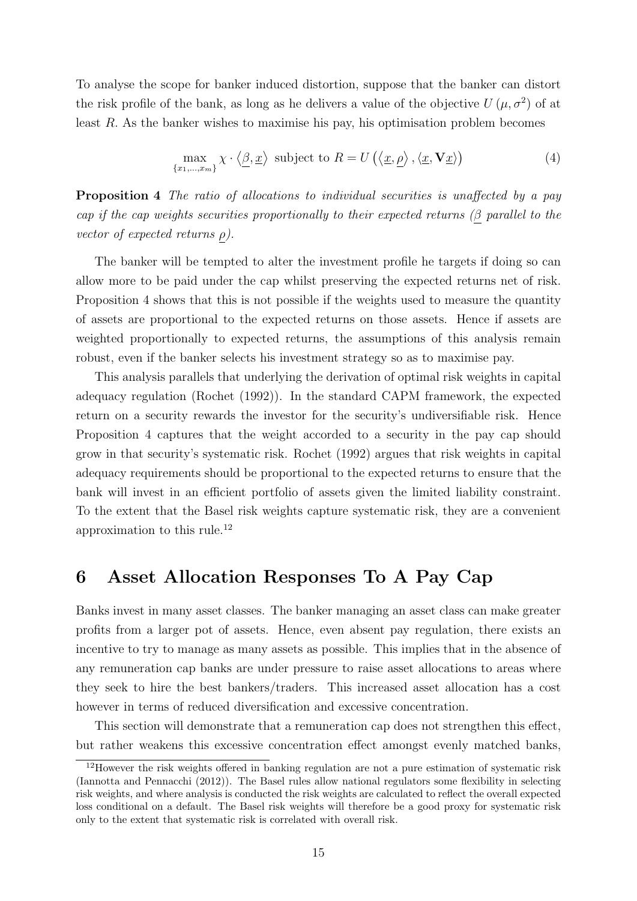To analyse the scope for banker induced distortion, suppose that the banker can distort the risk profile of the bank, as long as he delivers a value of the objective  $U(\mu, \sigma^2)$  of at least R. As the banker wishes to maximise his pay, his optimisation problem becomes

$$
\max_{\{x_1,\dots,x_m\}} \chi \cdot \langle \underline{\beta}, \underline{x} \rangle \text{ subject to } R = U\left(\langle \underline{x}, \underline{\rho} \rangle, \langle \underline{x}, \mathbf{V} \underline{x} \rangle\right) \tag{4}
$$

Proposition 4 The ratio of allocations to individual securities is unaffected by a pay cap if the cap weights securities proportionally to their expected returns  $(\beta$  parallel to the vector of expected returns  $\rho$ ).

The banker will be tempted to alter the investment profile he targets if doing so can allow more to be paid under the cap whilst preserving the expected returns net of risk. Proposition 4 shows that this is not possible if the weights used to measure the quantity of assets are proportional to the expected returns on those assets. Hence if assets are weighted proportionally to expected returns, the assumptions of this analysis remain robust, even if the banker selects his investment strategy so as to maximise pay.

This analysis parallels that underlying the derivation of optimal risk weights in capital adequacy regulation (Rochet (1992)). In the standard CAPM framework, the expected return on a security rewards the investor for the security's undiversifiable risk. Hence Proposition 4 captures that the weight accorded to a security in the pay cap should grow in that security's systematic risk. Rochet (1992) argues that risk weights in capital adequacy requirements should be proportional to the expected returns to ensure that the bank will invest in an efficient portfolio of assets given the limited liability constraint. To the extent that the Basel risk weights capture systematic risk, they are a convenient approximation to this rule.<sup>12</sup>

## 6 Asset Allocation Responses To A Pay Cap

Banks invest in many asset classes. The banker managing an asset class can make greater profits from a larger pot of assets. Hence, even absent pay regulation, there exists an incentive to try to manage as many assets as possible. This implies that in the absence of any remuneration cap banks are under pressure to raise asset allocations to areas where they seek to hire the best bankers/traders. This increased asset allocation has a cost however in terms of reduced diversification and excessive concentration.

This section will demonstrate that a remuneration cap does not strengthen this effect, but rather weakens this excessive concentration effect amongst evenly matched banks,

 $12$ However the risk weights offered in banking regulation are not a pure estimation of systematic risk (Iannotta and Pennacchi (2012)). The Basel rules allow national regulators some flexibility in selecting risk weights, and where analysis is conducted the risk weights are calculated to reflect the overall expected loss conditional on a default. The Basel risk weights will therefore be a good proxy for systematic risk only to the extent that systematic risk is correlated with overall risk.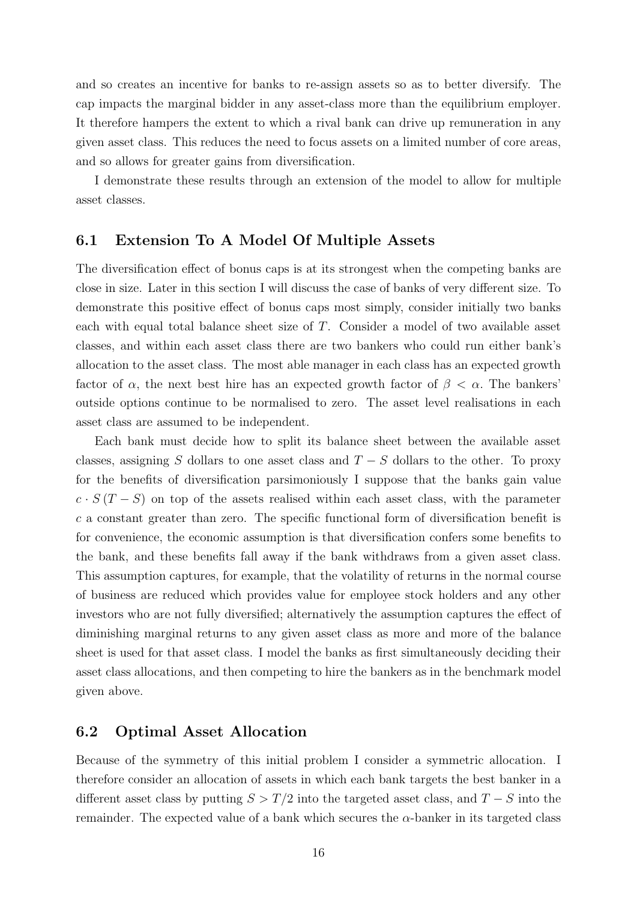and so creates an incentive for banks to re-assign assets so as to better diversify. The cap impacts the marginal bidder in any asset-class more than the equilibrium employer. It therefore hampers the extent to which a rival bank can drive up remuneration in any given asset class. This reduces the need to focus assets on a limited number of core areas, and so allows for greater gains from diversification.

I demonstrate these results through an extension of the model to allow for multiple asset classes.

#### 6.1 Extension To A Model Of Multiple Assets

The diversification effect of bonus caps is at its strongest when the competing banks are close in size. Later in this section I will discuss the case of banks of very different size. To demonstrate this positive effect of bonus caps most simply, consider initially two banks each with equal total balance sheet size of T. Consider a model of two available asset classes, and within each asset class there are two bankers who could run either bank's allocation to the asset class. The most able manager in each class has an expected growth factor of  $\alpha$ , the next best hire has an expected growth factor of  $\beta < \alpha$ . The bankers' outside options continue to be normalised to zero. The asset level realisations in each asset class are assumed to be independent.

Each bank must decide how to split its balance sheet between the available asset classes, assigning S dollars to one asset class and  $T-S$  dollars to the other. To proxy for the benefits of diversification parsimoniously I suppose that the banks gain value  $c \cdot S(T-S)$  on top of the assets realised within each asset class, with the parameter c a constant greater than zero. The specific functional form of diversification benefit is for convenience, the economic assumption is that diversification confers some benefits to the bank, and these benefits fall away if the bank withdraws from a given asset class. This assumption captures, for example, that the volatility of returns in the normal course of business are reduced which provides value for employee stock holders and any other investors who are not fully diversified; alternatively the assumption captures the effect of diminishing marginal returns to any given asset class as more and more of the balance sheet is used for that asset class. I model the banks as first simultaneously deciding their asset class allocations, and then competing to hire the bankers as in the benchmark model given above.

#### 6.2 Optimal Asset Allocation

Because of the symmetry of this initial problem I consider a symmetric allocation. I therefore consider an allocation of assets in which each bank targets the best banker in a different asset class by putting  $S > T/2$  into the targeted asset class, and  $T - S$  into the remainder. The expected value of a bank which secures the  $\alpha$ -banker in its targeted class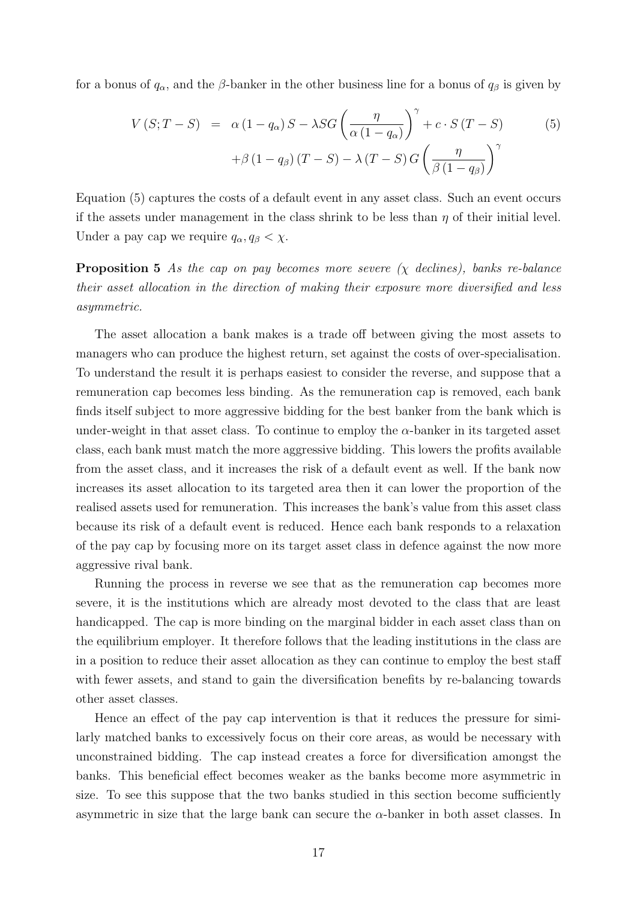for a bonus of  $q_{\alpha}$ , and the β-banker in the other business line for a bonus of  $q_{\beta}$  is given by

$$
V(S;T-S) = \alpha (1 - q_{\alpha}) S - \lambda SG \left(\frac{\eta}{\alpha (1 - q_{\alpha})}\right)^{\gamma} + c \cdot S(T-S)
$$
(5)  
+
$$
\beta (1 - q_{\beta}) (T-S) - \lambda (T-S) G \left(\frac{\eta}{\beta (1 - q_{\beta})}\right)^{\gamma}
$$

Equation (5) captures the costs of a default event in any asset class. Such an event occurs if the assets under management in the class shrink to be less than  $\eta$  of their initial level. Under a pay cap we require  $q_{\alpha}, q_{\beta} < \chi$ .

**Proposition 5** As the cap on pay becomes more severe  $(\chi$  declines), banks re-balance their asset allocation in the direction of making their exposure more diversified and less asymmetric.

The asset allocation a bank makes is a trade off between giving the most assets to managers who can produce the highest return, set against the costs of over-specialisation. To understand the result it is perhaps easiest to consider the reverse, and suppose that a remuneration cap becomes less binding. As the remuneration cap is removed, each bank finds itself subject to more aggressive bidding for the best banker from the bank which is under-weight in that asset class. To continue to employ the  $\alpha$ -banker in its targeted asset class, each bank must match the more aggressive bidding. This lowers the profits available from the asset class, and it increases the risk of a default event as well. If the bank now increases its asset allocation to its targeted area then it can lower the proportion of the realised assets used for remuneration. This increases the bank's value from this asset class because its risk of a default event is reduced. Hence each bank responds to a relaxation of the pay cap by focusing more on its target asset class in defence against the now more aggressive rival bank.

Running the process in reverse we see that as the remuneration cap becomes more severe, it is the institutions which are already most devoted to the class that are least handicapped. The cap is more binding on the marginal bidder in each asset class than on the equilibrium employer. It therefore follows that the leading institutions in the class are in a position to reduce their asset allocation as they can continue to employ the best staff with fewer assets, and stand to gain the diversification benefits by re-balancing towards other asset classes.

Hence an effect of the pay cap intervention is that it reduces the pressure for similarly matched banks to excessively focus on their core areas, as would be necessary with unconstrained bidding. The cap instead creates a force for diversification amongst the banks. This beneficial effect becomes weaker as the banks become more asymmetric in size. To see this suppose that the two banks studied in this section become sufficiently asymmetric in size that the large bank can secure the  $\alpha$ -banker in both asset classes. In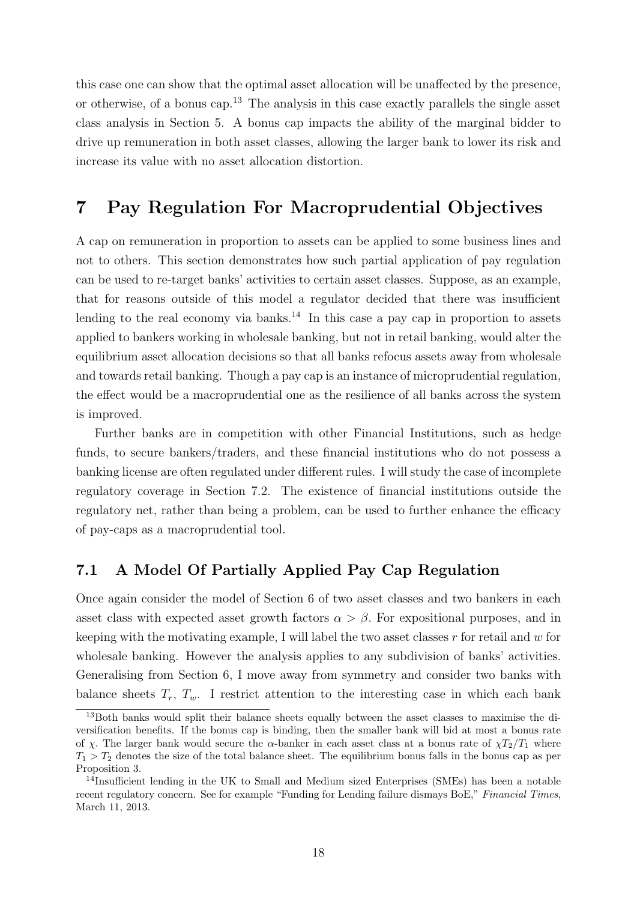this case one can show that the optimal asset allocation will be unaffected by the presence, or otherwise, of a bonus cap.<sup>13</sup> The analysis in this case exactly parallels the single asset class analysis in Section 5. A bonus cap impacts the ability of the marginal bidder to drive up remuneration in both asset classes, allowing the larger bank to lower its risk and increase its value with no asset allocation distortion.

## 7 Pay Regulation For Macroprudential Objectives

A cap on remuneration in proportion to assets can be applied to some business lines and not to others. This section demonstrates how such partial application of pay regulation can be used to re-target banks' activities to certain asset classes. Suppose, as an example, that for reasons outside of this model a regulator decided that there was insufficient lending to the real economy via banks.<sup>14</sup> In this case a pay cap in proportion to assets applied to bankers working in wholesale banking, but not in retail banking, would alter the equilibrium asset allocation decisions so that all banks refocus assets away from wholesale and towards retail banking. Though a pay cap is an instance of microprudential regulation, the effect would be a macroprudential one as the resilience of all banks across the system is improved.

Further banks are in competition with other Financial Institutions, such as hedge funds, to secure bankers/traders, and these financial institutions who do not possess a banking license are often regulated under different rules. I will study the case of incomplete regulatory coverage in Section 7.2. The existence of financial institutions outside the regulatory net, rather than being a problem, can be used to further enhance the efficacy of pay-caps as a macroprudential tool.

#### 7.1 A Model Of Partially Applied Pay Cap Regulation

Once again consider the model of Section 6 of two asset classes and two bankers in each asset class with expected asset growth factors  $\alpha > \beta$ . For expositional purposes, and in keeping with the motivating example, I will label the two asset classes  $r$  for retail and  $w$  for wholesale banking. However the analysis applies to any subdivision of banks' activities. Generalising from Section 6, I move away from symmetry and consider two banks with balance sheets  $T_r$ ,  $T_w$ . I restrict attention to the interesting case in which each bank

<sup>&</sup>lt;sup>13</sup>Both banks would split their balance sheets equally between the asset classes to maximise the diversification benefits. If the bonus cap is binding, then the smaller bank will bid at most a bonus rate of x. The larger bank would secure the  $\alpha$ -banker in each asset class at a bonus rate of  $\chi T_2/T_1$  where  $T_1 > T_2$  denotes the size of the total balance sheet. The equilibrium bonus falls in the bonus cap as per Proposition 3.

<sup>14</sup>Insufficient lending in the UK to Small and Medium sized Enterprises (SMEs) has been a notable recent regulatory concern. See for example "Funding for Lending failure dismays BoE," Financial Times, March 11, 2013.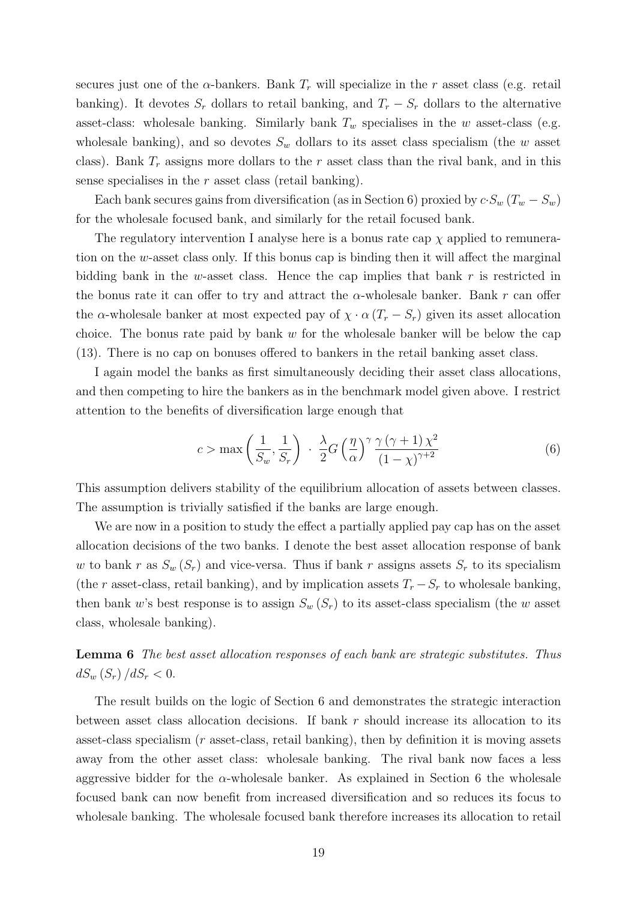secures just one of the  $\alpha$ -bankers. Bank  $T_r$  will specialize in the r asset class (e.g. retail banking). It devotes  $S_r$  dollars to retail banking, and  $T_r - S_r$  dollars to the alternative asset-class: wholesale banking. Similarly bank  $T_w$  specialises in the w asset-class (e.g. wholesale banking), and so devotes  $S_w$  dollars to its asset class specialism (the w asset class). Bank  $T_r$  assigns more dollars to the r asset class than the rival bank, and in this sense specialises in the  $r$  asset class (retail banking).

Each bank secures gains from diversification (as in Section 6) proxied by  $c \cdot S_w (T_w - S_w)$ for the wholesale focused bank, and similarly for the retail focused bank.

The regulatory intervention I analyse here is a bonus rate cap  $\chi$  applied to remuneration on the w-asset class only. If this bonus cap is binding then it will affect the marginal bidding bank in the w-asset class. Hence the cap implies that bank  $r$  is restricted in the bonus rate it can offer to try and attract the  $\alpha$ -wholesale banker. Bank r can offer the  $\alpha$ -wholesale banker at most expected pay of  $\chi \cdot \alpha (T_r - S_r)$  given its asset allocation choice. The bonus rate paid by bank  $w$  for the wholesale banker will be below the cap (13). There is no cap on bonuses offered to bankers in the retail banking asset class.

I again model the banks as first simultaneously deciding their asset class allocations, and then competing to hire the bankers as in the benchmark model given above. I restrict attention to the benefits of diversification large enough that

$$
c > \max\left(\frac{1}{S_w}, \frac{1}{S_r}\right) \cdot \frac{\lambda}{2} G\left(\frac{\eta}{\alpha}\right)^{\gamma} \frac{\gamma (\gamma + 1) \chi^2}{\left(1 - \chi\right)^{\gamma + 2}} \tag{6}
$$

This assumption delivers stability of the equilibrium allocation of assets between classes. The assumption is trivially satisfied if the banks are large enough.

We are now in a position to study the effect a partially applied pay cap has on the asset allocation decisions of the two banks. I denote the best asset allocation response of bank w to bank r as  $S_w(S_r)$  and vice-versa. Thus if bank r assigns assets  $S_r$  to its specialism (the r asset-class, retail banking), and by implication assets  $T_r - S_r$  to wholesale banking, then bank w's best response is to assign  $S_w(S_r)$  to its asset-class specialism (the w asset class, wholesale banking).

Lemma 6 The best asset allocation responses of each bank are strategic substitutes. Thus  $dS_w(S_r) / dS_r < 0.$ 

The result builds on the logic of Section 6 and demonstrates the strategic interaction between asset class allocation decisions. If bank  $r$  should increase its allocation to its asset-class specialism (r asset-class, retail banking), then by definition it is moving assets away from the other asset class: wholesale banking. The rival bank now faces a less aggressive bidder for the  $\alpha$ -wholesale banker. As explained in Section 6 the wholesale focused bank can now benefit from increased diversification and so reduces its focus to wholesale banking. The wholesale focused bank therefore increases its allocation to retail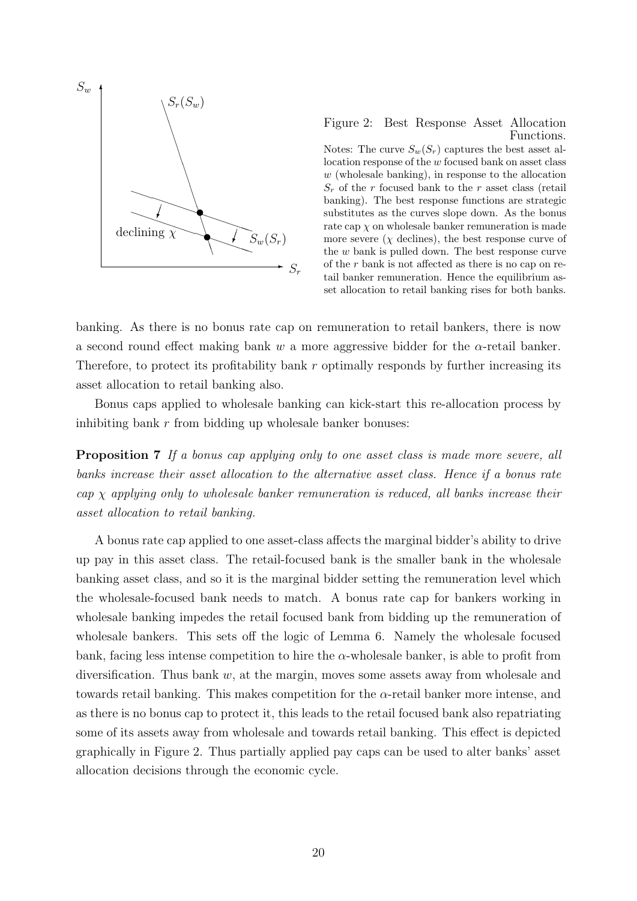

Figure 2: Best Response Asset Allocation Functions.

Notes: The curve  $S_w(S_r)$  captures the best asset allocation response of the w focused bank on asset class  $w$  (wholesale banking), in response to the allocation  $S_r$  of the r focused bank to the r asset class (retail banking). The best response functions are strategic substitutes as the curves slope down. As the bonus rate cap  $\chi$  on wholesale banker remuneration is made more severe  $(\chi \text{ declines})$ , the best response curve of the  $w$  bank is pulled down. The best response curve of the r bank is not affected as there is no cap on retail banker remuneration. Hence the equilibrium asset allocation to retail banking rises for both banks.

banking. As there is no bonus rate cap on remuneration to retail bankers, there is now a second round effect making bank w a more aggressive bidder for the  $\alpha$ -retail banker. Therefore, to protect its profitability bank  $r$  optimally responds by further increasing its asset allocation to retail banking also.

Bonus caps applied to wholesale banking can kick-start this re-allocation process by inhibiting bank  $r$  from bidding up wholesale banker bonuses:

**Proposition 7** If a bonus cap applying only to one asset class is made more severe, all banks increase their asset allocation to the alternative asset class. Hence if a bonus rate  $cap \ \chi$  applying only to wholesale banker remuneration is reduced, all banks increase their asset allocation to retail banking.

A bonus rate cap applied to one asset-class affects the marginal bidder's ability to drive up pay in this asset class. The retail-focused bank is the smaller bank in the wholesale banking asset class, and so it is the marginal bidder setting the remuneration level which the wholesale-focused bank needs to match. A bonus rate cap for bankers working in wholesale banking impedes the retail focused bank from bidding up the remuneration of wholesale bankers. This sets off the logic of Lemma 6. Namely the wholesale focused bank, facing less intense competition to hire the  $\alpha$ -wholesale banker, is able to profit from diversification. Thus bank  $w$ , at the margin, moves some assets away from wholesale and towards retail banking. This makes competition for the  $\alpha$ -retail banker more intense, and as there is no bonus cap to protect it, this leads to the retail focused bank also repatriating some of its assets away from wholesale and towards retail banking. This effect is depicted graphically in Figure 2. Thus partially applied pay caps can be used to alter banks' asset allocation decisions through the economic cycle.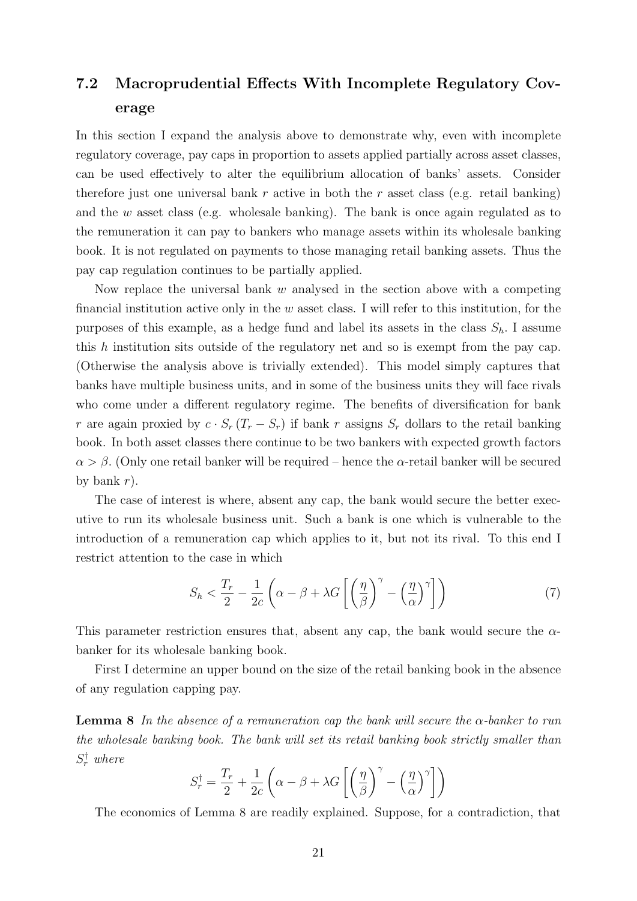## 7.2 Macroprudential Effects With Incomplete Regulatory Coverage

In this section I expand the analysis above to demonstrate why, even with incomplete regulatory coverage, pay caps in proportion to assets applied partially across asset classes, can be used effectively to alter the equilibrium allocation of banks' assets. Consider therefore just one universal bank r active in both the r asset class (e.g. retail banking) and the w asset class (e.g. wholesale banking). The bank is once again regulated as to the remuneration it can pay to bankers who manage assets within its wholesale banking book. It is not regulated on payments to those managing retail banking assets. Thus the pay cap regulation continues to be partially applied.

Now replace the universal bank  $w$  analysed in the section above with a competing financial institution active only in the  $w$  asset class. I will refer to this institution, for the purposes of this example, as a hedge fund and label its assets in the class  $S_h$ . I assume this h institution sits outside of the regulatory net and so is exempt from the pay cap. (Otherwise the analysis above is trivially extended). This model simply captures that banks have multiple business units, and in some of the business units they will face rivals who come under a different regulatory regime. The benefits of diversification for bank r are again proxied by  $c \cdot S_r (T_r - S_r)$  if bank r assigns  $S_r$  dollars to the retail banking book. In both asset classes there continue to be two bankers with expected growth factors  $\alpha > \beta$ . (Only one retail banker will be required – hence the  $\alpha$ -retail banker will be secured by bank  $r$ ).

The case of interest is where, absent any cap, the bank would secure the better executive to run its wholesale business unit. Such a bank is one which is vulnerable to the introduction of a remuneration cap which applies to it, but not its rival. To this end I restrict attention to the case in which

$$
S_h < \frac{T_r}{2} - \frac{1}{2c} \left( \alpha - \beta + \lambda G \left[ \left( \frac{\eta}{\beta} \right)^{\gamma} - \left( \frac{\eta}{\alpha} \right)^{\gamma} \right] \right) \tag{7}
$$

This parameter restriction ensures that, absent any cap, the bank would secure the  $\alpha$ banker for its wholesale banking book.

First I determine an upper bound on the size of the retail banking book in the absence of any regulation capping pay.

**Lemma 8** In the absence of a remuneration cap the bank will secure the  $\alpha$ -banker to run the wholesale banking book. The bank will set its retail banking book strictly smaller than  $S_r^{\dagger}$  where

$$
S_r^{\dagger} = \frac{T_r}{2} + \frac{1}{2c} \left( \alpha - \beta + \lambda G \left[ \left( \frac{\eta}{\beta} \right)^{\gamma} - \left( \frac{\eta}{\alpha} \right)^{\gamma} \right] \right)
$$

The economics of Lemma 8 are readily explained. Suppose, for a contradiction, that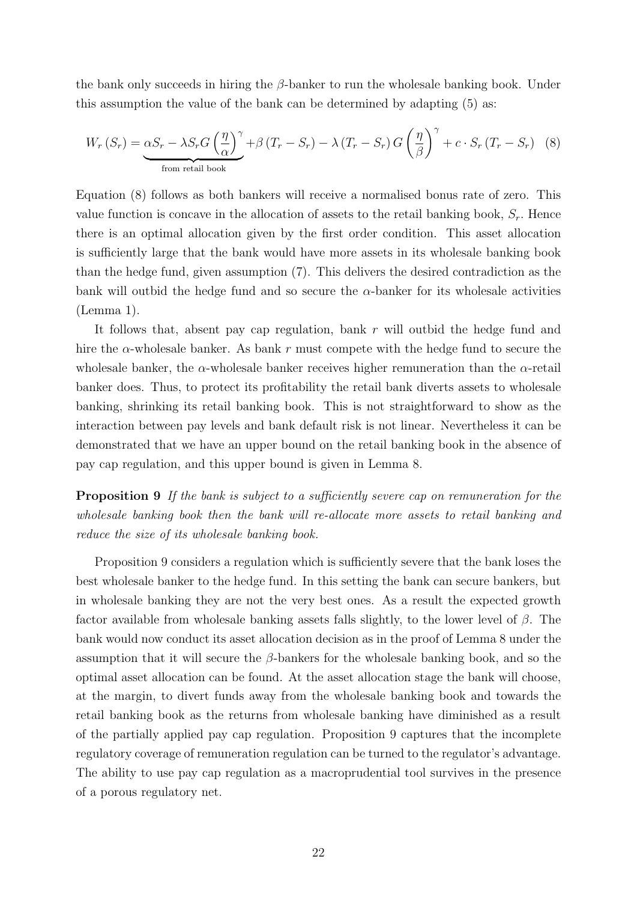the bank only succeeds in hiring the  $\beta$ -banker to run the wholesale banking book. Under this assumption the value of the bank can be determined by adapting (5) as:

$$
W_r(S_r) = \underbrace{\alpha S_r - \lambda S_r G \left(\frac{\eta}{\alpha}\right)^{\gamma}}_{\text{from retail book}} + \beta (T_r - S_r) - \lambda (T_r - S_r) G \left(\frac{\eta}{\beta}\right)^{\gamma} + c \cdot S_r (T_r - S_r) \tag{8}
$$

Equation (8) follows as both bankers will receive a normalised bonus rate of zero. This value function is concave in the allocation of assets to the retail banking book,  $S_r$ . Hence there is an optimal allocation given by the first order condition. This asset allocation is sufficiently large that the bank would have more assets in its wholesale banking book than the hedge fund, given assumption (7). This delivers the desired contradiction as the bank will outbid the hedge fund and so secure the  $\alpha$ -banker for its wholesale activities (Lemma 1).

It follows that, absent pay cap regulation, bank r will outbid the hedge fund and hire the  $\alpha$ -wholesale banker. As bank r must compete with the hedge fund to secure the wholesale banker, the  $\alpha$ -wholesale banker receives higher remuneration than the  $\alpha$ -retail banker does. Thus, to protect its profitability the retail bank diverts assets to wholesale banking, shrinking its retail banking book. This is not straightforward to show as the interaction between pay levels and bank default risk is not linear. Nevertheless it can be demonstrated that we have an upper bound on the retail banking book in the absence of pay cap regulation, and this upper bound is given in Lemma 8.

Proposition 9 If the bank is subject to a sufficiently severe cap on remuneration for the wholesale banking book then the bank will re-allocate more assets to retail banking and reduce the size of its wholesale banking book.

Proposition 9 considers a regulation which is sufficiently severe that the bank loses the best wholesale banker to the hedge fund. In this setting the bank can secure bankers, but in wholesale banking they are not the very best ones. As a result the expected growth factor available from wholesale banking assets falls slightly, to the lower level of  $\beta$ . The bank would now conduct its asset allocation decision as in the proof of Lemma 8 under the assumption that it will secure the  $\beta$ -bankers for the wholesale banking book, and so the optimal asset allocation can be found. At the asset allocation stage the bank will choose, at the margin, to divert funds away from the wholesale banking book and towards the retail banking book as the returns from wholesale banking have diminished as a result of the partially applied pay cap regulation. Proposition 9 captures that the incomplete regulatory coverage of remuneration regulation can be turned to the regulator's advantage. The ability to use pay cap regulation as a macroprudential tool survives in the presence of a porous regulatory net.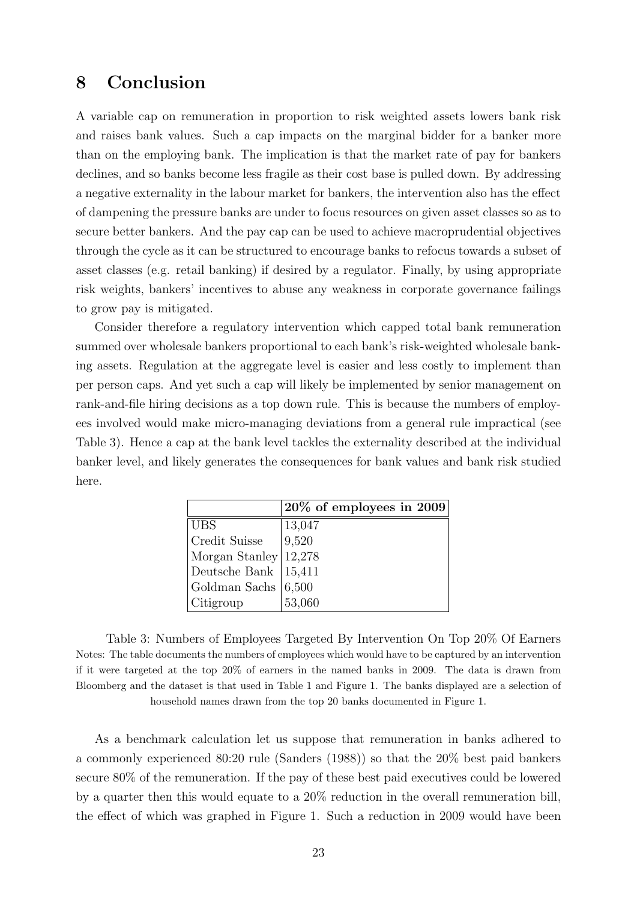## 8 Conclusion

A variable cap on remuneration in proportion to risk weighted assets lowers bank risk and raises bank values. Such a cap impacts on the marginal bidder for a banker more than on the employing bank. The implication is that the market rate of pay for bankers declines, and so banks become less fragile as their cost base is pulled down. By addressing a negative externality in the labour market for bankers, the intervention also has the effect of dampening the pressure banks are under to focus resources on given asset classes so as to secure better bankers. And the pay cap can be used to achieve macroprudential objectives through the cycle as it can be structured to encourage banks to refocus towards a subset of asset classes (e.g. retail banking) if desired by a regulator. Finally, by using appropriate risk weights, bankers' incentives to abuse any weakness in corporate governance failings to grow pay is mitigated.

Consider therefore a regulatory intervention which capped total bank remuneration summed over wholesale bankers proportional to each bank's risk-weighted wholesale banking assets. Regulation at the aggregate level is easier and less costly to implement than per person caps. And yet such a cap will likely be implemented by senior management on rank-and-file hiring decisions as a top down rule. This is because the numbers of employees involved would make micro-managing deviations from a general rule impractical (see Table 3). Hence a cap at the bank level tackles the externality described at the individual banker level, and likely generates the consequences for bank values and bank risk studied here.

|                                | $20\%$ of employees in 2009 |
|--------------------------------|-----------------------------|
| UBS <sup>1</sup>               | 13,047                      |
| <b>Credit Suisse</b>           | 9,520                       |
| Morgan Stanley                 | 12,278                      |
| Deutsche Bank $ 15,411\rangle$ |                             |
| Goldman Sachs 6,500            |                             |
| Citigroup                      | 53,060                      |

Table 3: Numbers of Employees Targeted By Intervention On Top 20% Of Earners Notes: The table documents the numbers of employees which would have to be captured by an intervention if it were targeted at the top 20% of earners in the named banks in 2009. The data is drawn from Bloomberg and the dataset is that used in Table 1 and Figure 1. The banks displayed are a selection of household names drawn from the top 20 banks documented in Figure 1.

As a benchmark calculation let us suppose that remuneration in banks adhered to a commonly experienced 80:20 rule (Sanders (1988)) so that the 20% best paid bankers secure 80% of the remuneration. If the pay of these best paid executives could be lowered by a quarter then this would equate to a 20% reduction in the overall remuneration bill, the effect of which was graphed in Figure 1. Such a reduction in 2009 would have been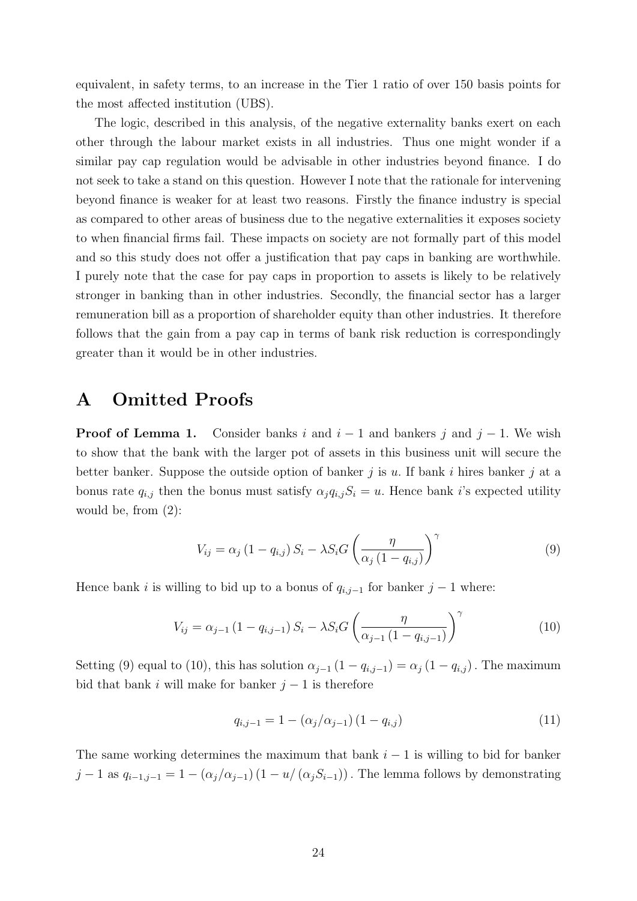equivalent, in safety terms, to an increase in the Tier 1 ratio of over 150 basis points for the most affected institution (UBS).

The logic, described in this analysis, of the negative externality banks exert on each other through the labour market exists in all industries. Thus one might wonder if a similar pay cap regulation would be advisable in other industries beyond finance. I do not seek to take a stand on this question. However I note that the rationale for intervening beyond finance is weaker for at least two reasons. Firstly the finance industry is special as compared to other areas of business due to the negative externalities it exposes society to when financial firms fail. These impacts on society are not formally part of this model and so this study does not offer a justification that pay caps in banking are worthwhile. I purely note that the case for pay caps in proportion to assets is likely to be relatively stronger in banking than in other industries. Secondly, the financial sector has a larger remuneration bill as a proportion of shareholder equity than other industries. It therefore follows that the gain from a pay cap in terms of bank risk reduction is correspondingly greater than it would be in other industries.

#### A Omitted Proofs

**Proof of Lemma 1.** Consider banks i and  $i - 1$  and bankers j and  $j - 1$ . We wish to show that the bank with the larger pot of assets in this business unit will secure the better banker. Suppose the outside option of banker j is u. If bank i hires banker j at a bonus rate  $q_{i,j}$  then the bonus must satisfy  $\alpha_j q_{i,j} S_i = u$ . Hence bank i's expected utility would be, from (2):

$$
V_{ij} = \alpha_j \left(1 - q_{i,j}\right) S_i - \lambda S_i G \left(\frac{\eta}{\alpha_j \left(1 - q_{i,j}\right)}\right)^{\gamma} \tag{9}
$$

Hence bank *i* is willing to bid up to a bonus of  $q_{i,j-1}$  for banker  $j-1$  where:

$$
V_{ij} = \alpha_{j-1} \left( 1 - q_{i,j-1} \right) S_i - \lambda S_i G \left( \frac{\eta}{\alpha_{j-1} \left( 1 - q_{i,j-1} \right)} \right)^{\gamma} \tag{10}
$$

Setting (9) equal to (10), this has solution  $\alpha_{j-1} (1 - q_{i,j-1}) = \alpha_j (1 - q_{i,j})$ . The maximum bid that bank i will make for banker  $j - 1$  is therefore

$$
q_{i,j-1} = 1 - (\alpha_j/\alpha_{j-1})(1 - q_{i,j})
$$
\n(11)

The same working determines the maximum that bank  $i - 1$  is willing to bid for banker j − 1 as  $q_{i-1,j-1} = 1 - (\alpha_j/\alpha_{j-1})(1 - u/(\alpha_j S_{i-1}))$ . The lemma follows by demonstrating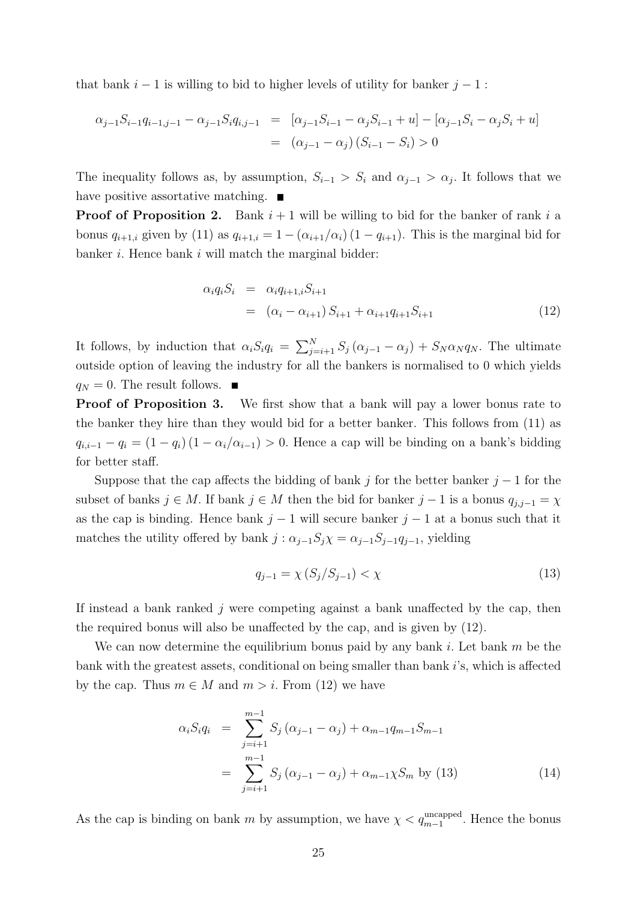that bank  $i - 1$  is willing to bid to higher levels of utility for banker  $j - 1$ :

$$
\alpha_{j-1} S_{i-1} q_{i-1,j-1} - \alpha_{j-1} S_i q_{i,j-1} = [\alpha_{j-1} S_{i-1} - \alpha_j S_{i-1} + u] - [\alpha_{j-1} S_i - \alpha_j S_i + u]
$$
  
=  $(\alpha_{j-1} - \alpha_j) (S_{i-1} - S_i) > 0$ 

The inequality follows as, by assumption,  $S_{i-1} > S_i$  and  $\alpha_{i-1} > \alpha_i$ . It follows that we have positive assortative matching.  $\blacksquare$ 

**Proof of Proposition 2.** Bank  $i + 1$  will be willing to bid for the banker of rank i a bonus  $q_{i+1,i}$  given by (11) as  $q_{i+1,i} = 1 - (\alpha_{i+1}/\alpha_i) (1 - q_{i+1})$ . This is the marginal bid for banker  $i$ . Hence bank  $i$  will match the marginal bidder:

$$
\alpha_i q_i S_i = \alpha_i q_{i+1,i} S_{i+1}
$$
  
=  $(\alpha_i - \alpha_{i+1}) S_{i+1} + \alpha_{i+1} q_{i+1} S_{i+1}$  (12)

It follows, by induction that  $\alpha_i S_i q_i = \sum_{j=i+1}^N S_j (\alpha_{j-1} - \alpha_j) + S_N \alpha_N q_N$ . The ultimate outside option of leaving the industry for all the bankers is normalised to 0 which yields  $q_N = 0$ . The result follows.  $\blacksquare$ 

**Proof of Proposition 3.** We first show that a bank will pay a lower bonus rate to the banker they hire than they would bid for a better banker. This follows from (11) as  $q_{i,i-1} - q_i = (1 - q_i) (1 - \alpha_i/\alpha_{i-1}) > 0$ . Hence a cap will be binding on a bank's bidding for better staff.

Suppose that the cap affects the bidding of bank j for the better banker  $j-1$  for the subset of banks  $j \in M$ . If bank  $j \in M$  then the bid for banker  $j - 1$  is a bonus  $q_{j,j-1} = \chi$ as the cap is binding. Hence bank  $j-1$  will secure banker  $j-1$  at a bonus such that it matches the utility offered by bank  $j : \alpha_{j-1}S_j \chi = \alpha_{j-1}S_{j-1}q_{j-1}$ , yielding

$$
q_{j-1} = \chi\left(S_j/S_{j-1}\right) < \chi\tag{13}
$$

If instead a bank ranked  $j$  were competing against a bank unaffected by the cap, then the required bonus will also be unaffected by the cap, and is given by (12).

We can now determine the equilibrium bonus paid by any bank  $i$ . Let bank  $m$  be the bank with the greatest assets, conditional on being smaller than bank i's, which is affected by the cap. Thus  $m \in M$  and  $m > i$ . From (12) we have

$$
\alpha_i S_i q_i = \sum_{j=i+1}^{m-1} S_j (\alpha_{j-1} - \alpha_j) + \alpha_{m-1} q_{m-1} S_{m-1}
$$
  
= 
$$
\sum_{j=i+1}^{m-1} S_j (\alpha_{j-1} - \alpha_j) + \alpha_{m-1} \chi S_m
$$
 by (13) (14)

As the cap is binding on bank m by assumption, we have  $\chi < q_{m-1}^{\text{uncapped}}$ . Hence the bonus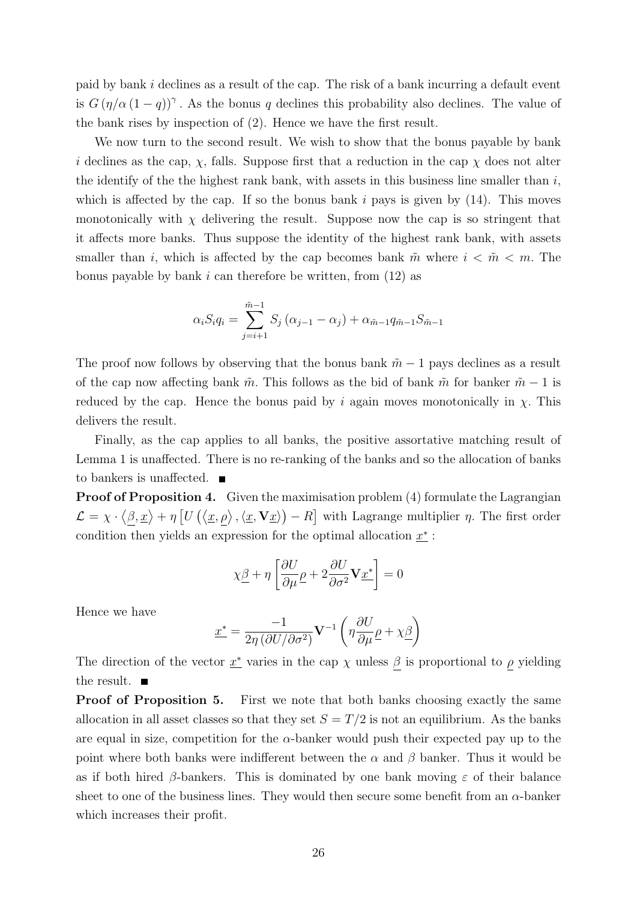paid by bank i declines as a result of the cap. The risk of a bank incurring a default event is  $G(\eta/\alpha(1-q))^{\gamma}$ . As the bonus q declines this probability also declines. The value of the bank rises by inspection of (2). Hence we have the first result.

We now turn to the second result. We wish to show that the bonus payable by bank i declines as the cap,  $\chi$ , falls. Suppose first that a reduction in the cap  $\chi$  does not alter the identify of the the highest rank bank, with assets in this business line smaller than  $i$ , which is affected by the cap. If so the bonus bank i pays is given by  $(14)$ . This moves monotonically with  $\chi$  delivering the result. Suppose now the cap is so stringent that it affects more banks. Thus suppose the identity of the highest rank bank, with assets smaller than i, which is affected by the cap becomes bank  $\tilde{m}$  where  $i < \tilde{m} < m$ . The bonus payable by bank i can therefore be written, from  $(12)$  as

$$
\alpha_i S_i q_i = \sum_{j=i+1}^{\tilde{m}-1} S_j (\alpha_{j-1} - \alpha_j) + \alpha_{\tilde{m}-1} q_{\tilde{m}-1} S_{\tilde{m}-1}
$$

The proof now follows by observing that the bonus bank  $\tilde{m} - 1$  pays declines as a result of the cap now affecting bank  $\tilde{m}$ . This follows as the bid of bank  $\tilde{m}$  for banker  $\tilde{m} - 1$  is reduced by the cap. Hence the bonus paid by i again moves monotonically in  $\chi$ . This delivers the result.

Finally, as the cap applies to all banks, the positive assortative matching result of Lemma 1 is unaffected. There is no re-ranking of the banks and so the allocation of banks to bankers is unaffected.  $\blacksquare$ 

Proof of Proposition 4. Given the maximisation problem (4) formulate the Lagrangian  $\mathcal{L} = \chi \cdot \langle \beta, \underline{x} \rangle + \eta \left[ U(\langle \underline{x}, \rho \rangle, \langle \underline{x}, \mathbf{V} \underline{x} \rangle) - R \right]$  with Lagrange multiplier  $\eta$ . The first order condition then yields an expression for the optimal allocation  $x^*$ :

$$
\chi \underline{\beta} + \eta \left[ \frac{\partial U}{\partial \mu} \underline{\rho} + 2 \frac{\partial U}{\partial \sigma^2} \mathbf{V} \underline{x^*} \right] = 0
$$

Hence we have

$$
\underline{x}^* = \frac{-1}{2\eta \left(\partial U/\partial \sigma^2\right)} \mathbf{V}^{-1} \left(\eta \frac{\partial U}{\partial \mu} \rho + \chi \underline{\beta}\right)
$$

The direction of the vector  $x^*$  varies in the cap  $\chi$  unless  $\beta$  is proportional to  $\rho$  yielding the result.  $\blacksquare$ 

**Proof of Proposition 5.** First we note that both banks choosing exactly the same allocation in all asset classes so that they set  $S = T/2$  is not an equilibrium. As the banks are equal in size, competition for the  $\alpha$ -banker would push their expected pay up to the point where both banks were indifferent between the  $\alpha$  and  $\beta$  banker. Thus it would be as if both hired  $\beta$ -bankers. This is dominated by one bank moving  $\varepsilon$  of their balance sheet to one of the business lines. They would then secure some benefit from an  $\alpha$ -banker which increases their profit.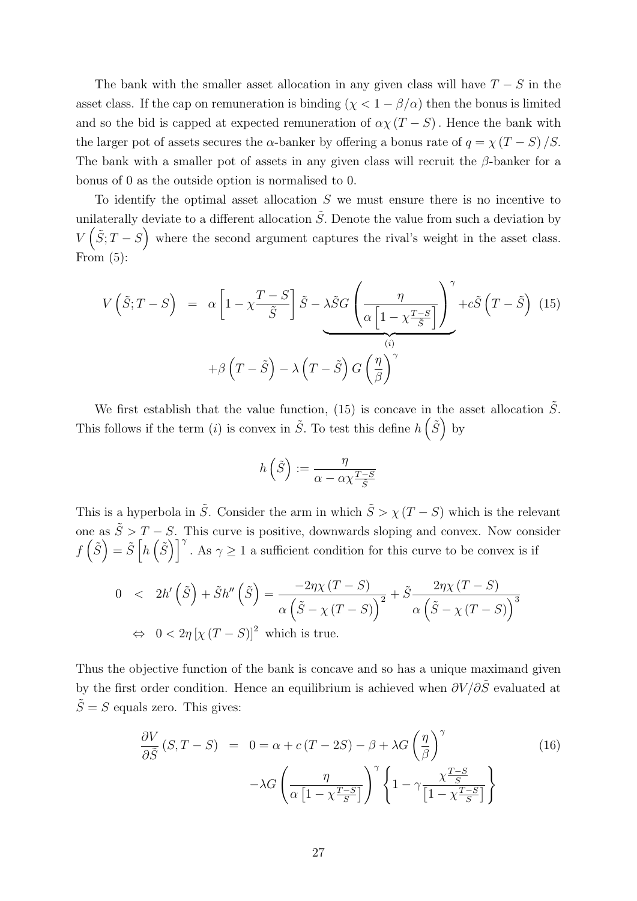The bank with the smaller asset allocation in any given class will have  $T-S$  in the asset class. If the cap on remuneration is binding  $(\chi < 1 - \beta/\alpha)$  then the bonus is limited and so the bid is capped at expected remuneration of  $\alpha \chi (T - S)$ . Hence the bank with the larger pot of assets secures the  $\alpha$ -banker by offering a bonus rate of  $q = \chi (T - S)/S$ . The bank with a smaller pot of assets in any given class will recruit the  $\beta$ -banker for a bonus of 0 as the outside option is normalised to 0.

To identify the optimal asset allocation S we must ensure there is no incentive to unilaterally deviate to a different allocation  $\tilde{S}$ . Denote the value from such a deviation by  $V(\tilde{S};T-S)$  where the second argument captures the rival's weight in the asset class. From  $(5)$ :

$$
V(\tilde{S};T-S) = \alpha \left[1 - \chi \frac{T-S}{\tilde{S}}\right] \tilde{S} - \lambda \tilde{S}G \left(\frac{\eta}{\alpha \left[1 - \chi \frac{T-S}{\tilde{S}}\right]}\right)^{\gamma} + c\tilde{S} \left(T-\tilde{S}\right) \tag{15}
$$

$$
+ \beta \left(T-\tilde{S}\right) - \lambda \left(T-\tilde{S}\right) G \left(\frac{\eta}{\beta}\right)^{\gamma}
$$

We first establish that the value function, (15) is concave in the asset allocation  $\tilde{S}$ . This follows if the term (*i*) is convex in  $\tilde{S}$ . To test this define  $h\left(\tilde{S}\right)$  by

$$
h\left(\tilde{S}\right):=\frac{\eta}{\alpha-\alpha\chi\frac{T-S}{\tilde{S}}}
$$

This is a hyperbola in  $\tilde{S}$ . Consider the arm in which  $\tilde{S} > \chi (T - S)$  which is the relevant one as  $\tilde{S} > T - S$ . This curve is positive, downwards sloping and convex. Now consider  $f\left(\tilde{S}\right) = \tilde{S}\left[h\left(\tilde{S}\right)\right]^{\gamma}$ . As  $\gamma \geq 1$  a sufficient condition for this curve to be convex is if

$$
0 < 2h'\left(\tilde{S}\right) + \tilde{S}h''\left(\tilde{S}\right) = \frac{-2\eta\chi\left(T - S\right)}{\alpha\left(\tilde{S} - \chi\left(T - S\right)\right)^2} + \tilde{S}\frac{2\eta\chi\left(T - S\right)}{\alpha\left(\tilde{S} - \chi\left(T - S\right)\right)^3}
$$
\n
$$
\Leftrightarrow 0 < 2\eta\left[\chi\left(T - S\right)\right]^2 \text{ which is true.}
$$

Thus the objective function of the bank is concave and so has a unique maximand given by the first order condition. Hence an equilibrium is achieved when  $\partial V/\partial \tilde{S}$  evaluated at  $\tilde{S} = S$  equals zero. This gives:

$$
\frac{\partial V}{\partial \tilde{S}}(S, T - S) = 0 = \alpha + c(T - 2S) - \beta + \lambda G \left(\frac{\eta}{\beta}\right)^{\gamma} -\lambda G \left(\frac{\eta}{\alpha \left[1 - \chi \frac{T - S}{S}\right]}\right)^{\gamma} \left\{1 - \gamma \frac{\chi \frac{T - S}{S}}{\left[1 - \chi \frac{T - S}{S}\right]}\right\}
$$
(16)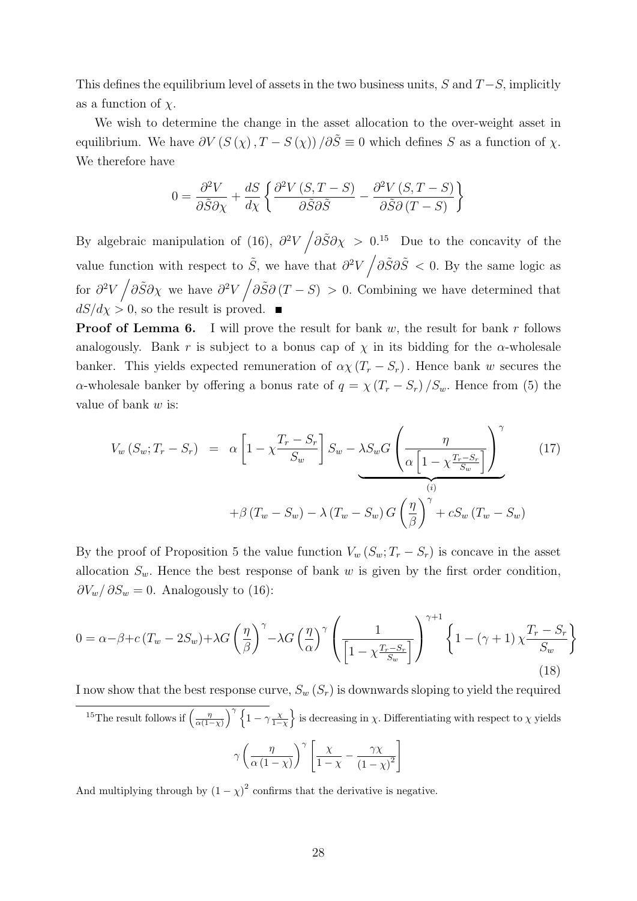This defines the equilibrium level of assets in the two business units, S and  $T-S$ , implicitly as a function of  $\chi$ .

We wish to determine the change in the asset allocation to the over-weight asset in equilibrium. We have  $\partial V(S(\chi), T - S(\chi)) / \partial \tilde{S} \equiv 0$  which defines S as a function of  $\chi$ . We therefore have

$$
0 = \frac{\partial^2 V}{\partial \tilde{S} \partial \chi} + \frac{dS}{d\chi} \left\{ \frac{\partial^2 V(S, T - S)}{\partial \tilde{S} \partial \tilde{S}} - \frac{\partial^2 V(S, T - S)}{\partial \tilde{S} \partial (T - S)} \right\}
$$

By algebraic manipulation of (16),  $\partial^2 V / \partial \tilde{S} \partial \chi > 0^{15}$  Due to the concavity of the value function with respect to  $\tilde{S}$ , we have that  $\partial^2 V / \partial \tilde{S} \partial \tilde{S} < 0$ . By the same logic as for  $\partial^2 V / \partial \tilde{S} \partial \chi$  we have  $\partial^2 V / \partial \tilde{S} \partial (T - S) > 0$ . Combining we have determined that  $dS/d\chi > 0$ , so the result is proved.

**Proof of Lemma 6.** I will prove the result for bank  $w$ , the result for bank  $r$  follows analogously. Bank r is subject to a bonus cap of  $\chi$  in its bidding for the  $\alpha$ -wholesale banker. This yields expected remuneration of  $\alpha \chi (T_r - S_r)$ . Hence bank w secures the  $\alpha$ -wholesale banker by offering a bonus rate of  $q = \chi (T_r - S_r)/S_w$ . Hence from (5) the value of bank w is:

$$
V_w(S_w; T_r - S_r) = \alpha \left[ 1 - \chi \frac{T_r - S_r}{S_w} \right] S_w - \lambda S_w G \left( \frac{\eta}{\alpha \left[ 1 - \chi \frac{T_r - S_r}{S_w} \right]} \right)^\gamma
$$
(17)  
+  $\beta (T_w - S_w) - \lambda (T_w - S_w) G \left( \frac{\eta}{\beta} \right)^\gamma + c S_w (T_w - S_w)$ 

By the proof of Proposition 5 the value function  $V_w(S_w; T_r - S_r)$  is concave in the asset allocation  $S_w$ . Hence the best response of bank w is given by the first order condition,  $\partial V_w/\partial S_w = 0$ . Analogously to (16):

$$
0 = \alpha - \beta + c \left( T_w - 2S_w \right) + \lambda G \left( \frac{\eta}{\beta} \right)^{\gamma} - \lambda G \left( \frac{\eta}{\alpha} \right)^{\gamma} \left( \frac{1}{\left[ 1 - \chi \frac{T_r - S_r}{S_w} \right]} \right)^{\gamma + 1} \left\{ 1 - (\gamma + 1) \chi \frac{T_r - S_r}{S_w} \right\}
$$
\n(18)

I now show that the best response curve,  $S_w(S_r)$  is downwards sloping to yield the required

$$
\frac{15}{15}
$$
The result follows if  $\left(\frac{\eta}{\alpha(1-\chi)}\right)^{\gamma} \left\{1-\gamma\frac{\chi}{1-\chi}\right\}$  is decreasing in  $\chi$ . Differentiating with respect to  $\chi$  yields\n
$$
\gamma \left(\frac{\eta}{\alpha(1-\chi)}\right)^{\gamma} \left[\frac{\chi}{1-\chi} - \frac{\gamma \chi}{(1-\chi)^2}\right]
$$

And multiplying through by  $(1 - \chi)^2$  confirms that the derivative is negative.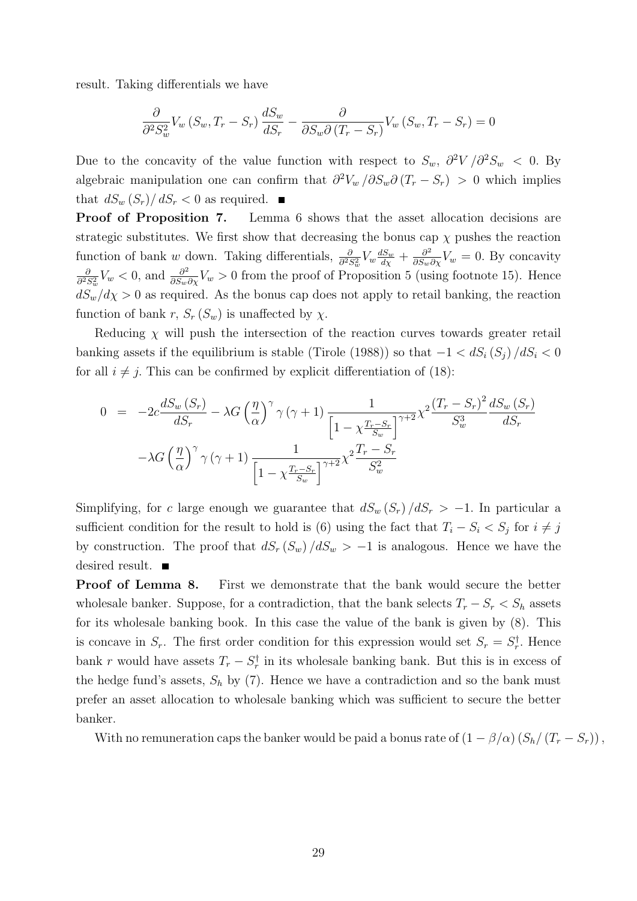result. Taking differentials we have

$$
\frac{\partial}{\partial^2 S_w^2} V_w \left( S_w, T_r - S_r \right) \frac{dS_w}{dS_r} - \frac{\partial}{\partial S_w \partial \left( T_r - S_r \right)} V_w \left( S_w, T_r - S_r \right) = 0
$$

Due to the concavity of the value function with respect to  $S_w$ ,  $\partial^2 V / \partial^2 S_w$  < 0. By algebraic manipulation one can confirm that  $\partial^2 V_w / \partial S_w \partial (T_r - S_r) > 0$  which implies that  $dS_w(S_r)/dS_r < 0$  as required.

Proof of Proposition 7. Lemma 6 shows that the asset allocation decisions are strategic substitutes. We first show that decreasing the bonus cap  $\chi$  pushes the reaction function of bank w down. Taking differentials,  $\frac{\partial}{\partial^2 S_w^2} V_w \frac{dS_w}{dx} + \frac{\partial^2}{\partial S_w \partial \chi} V_w = 0$ . By concavity ∂  $\frac{\partial}{\partial^2 S_w^2}V_w < 0$ , and  $\frac{\partial^2}{\partial S_w \partial \chi}V_w > 0$  from the proof of Proposition 5 (using footnote 15). Hence  $dS_w/d\chi > 0$  as required. As the bonus cap does not apply to retail banking, the reaction function of bank r,  $S_r(S_w)$  is unaffected by  $\chi$ .

Reducing  $\chi$  will push the intersection of the reaction curves towards greater retail banking assets if the equilibrium is stable (Tirole (1988)) so that  $-1 < dS_i(S_i)/dS_i < 0$ for all  $i \neq j$ . This can be confirmed by explicit differentiation of (18):

$$
0 = -2c\frac{dS_w(S_r)}{dS_r} - \lambda G \left(\frac{\eta}{\alpha}\right)^{\gamma} \gamma (\gamma + 1) \frac{1}{\left[1 - \chi \frac{T_r - S_r}{S_w}\right]^{\gamma + 2}} \chi^2 \frac{(T_r - S_r)^2}{S_w^3} \frac{dS_w(S_r)}{dS_r}
$$

$$
-\lambda G \left(\frac{\eta}{\alpha}\right)^{\gamma} \gamma (\gamma + 1) \frac{1}{\left[1 - \chi \frac{T_r - S_r}{S_w}\right]^{\gamma + 2}} \chi^2 \frac{T_r - S_r}{S_w^2}
$$

Simplifying, for c large enough we guarantee that  $dS_w(S_r)/dS_r > -1$ . In particular a sufficient condition for the result to hold is (6) using the fact that  $T_i - S_i < S_j$  for  $i \neq j$ by construction. The proof that  $dS_r(S_w)/dS_w > -1$  is analogous. Hence we have the desired result. ■

Proof of Lemma 8. First we demonstrate that the bank would secure the better wholesale banker. Suppose, for a contradiction, that the bank selects  $T_r - S_r < S_h$  assets for its wholesale banking book. In this case the value of the bank is given by (8). This is concave in  $S_r$ . The first order condition for this expression would set  $S_r = S_r^{\dagger}$ . Hence bank r would have assets  $T_r - S_r^{\dagger}$  in its wholesale banking bank. But this is in excess of the hedge fund's assets,  $S_h$  by (7). Hence we have a contradiction and so the bank must prefer an asset allocation to wholesale banking which was sufficient to secure the better banker.

With no remuneration caps the banker would be paid a bonus rate of  $(1 - \beta/\alpha)(S_h/(T_r - S_r))$ ,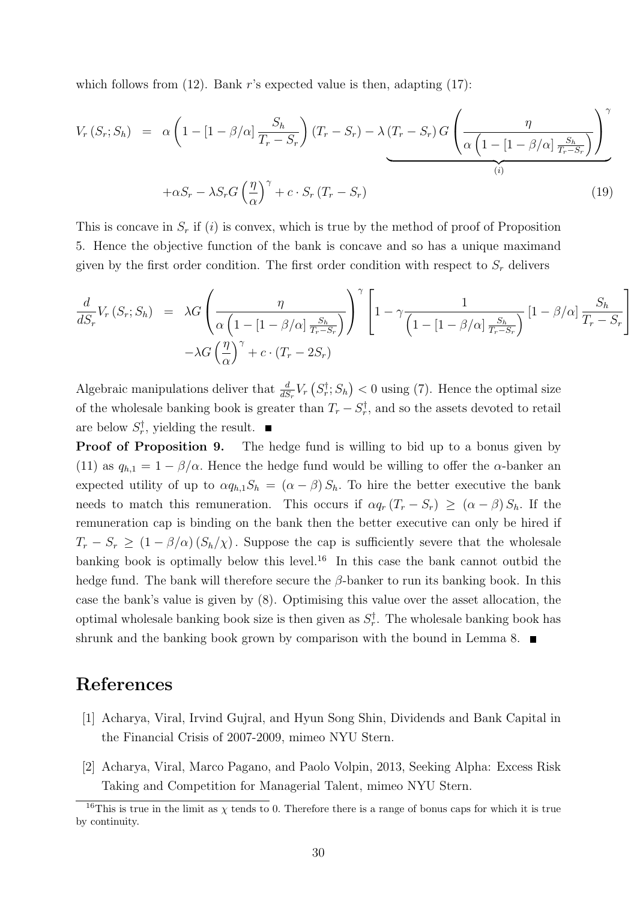which follows from  $(12)$ . Bank r's expected value is then, adapting  $(17)$ :

$$
V_r(S_r; S_h) = \alpha \left( 1 - \left[ 1 - \beta/\alpha \right] \frac{S_h}{T_r - S_r} \right) (T_r - S_r) - \lambda (T_r - S_r) G \left( \frac{\eta}{\alpha \left( 1 - \left[ 1 - \beta/\alpha \right] \frac{S_h}{T_r - S_r} \right)} \right)^{\gamma}
$$
  
 
$$
+ \alpha S_r - \lambda S_r G \left( \frac{\eta}{\alpha} \right)^{\gamma} + c \cdot S_r (T_r - S_r) \tag{19}
$$

This is concave in  $S_r$  if (i) is convex, which is true by the method of proof of Proposition 5. Hence the objective function of the bank is concave and so has a unique maximand given by the first order condition. The first order condition with respect to  $S_r$  delivers

$$
\frac{d}{dS_r}V_r(S_r; S_h) = \lambda G \left( \frac{\eta}{\alpha \left(1 - \left[1 - \beta/\alpha\right] \frac{S_h}{T_r - S_r}\right)}\right)^{\gamma} \left[1 - \gamma \frac{1}{\left(1 - \left[1 - \beta/\alpha\right] \frac{S_h}{T_r - S_r}\right)} \left[1 - \beta/\alpha\right] \frac{S_h}{T_r - S_r}\right] - \lambda G \left(\frac{\eta}{\alpha}\right)^{\gamma} + c \cdot (T_r - 2S_r)
$$

Algebraic manipulations deliver that  $\frac{d}{ds_r}V_r(S_r^{\dagger}; S_h) < 0$  using (7). Hence the optimal size of the wholesale banking book is greater than  $T_r - S_r^{\dagger}$ , and so the assets devoted to retail are below  $S_r^{\dagger}$ , yielding the result.

**Proof of Proposition 9.** The hedge fund is willing to bid up to a bonus given by (11) as  $q_{h,1} = 1 - \beta/\alpha$ . Hence the hedge fund would be willing to offer the  $\alpha$ -banker an expected utility of up to  $\alpha q_{h,1} S_h = (\alpha - \beta) S_h$ . To hire the better executive the bank needs to match this remuneration. This occurs if  $\alpha q_r (T_r - S_r) \geq (\alpha - \beta) S_h$ . If the remuneration cap is binding on the bank then the better executive can only be hired if  $T_r - S_r \ge (1 - \beta/\alpha) (S_h/\chi)$ . Suppose the cap is sufficiently severe that the wholesale banking book is optimally below this level.<sup>16</sup> In this case the bank cannot outbid the hedge fund. The bank will therefore secure the  $\beta$ -banker to run its banking book. In this case the bank's value is given by (8). Optimising this value over the asset allocation, the optimal wholesale banking book size is then given as  $S_r^{\dagger}$ . The wholesale banking book has shrunk and the banking book grown by comparison with the bound in Lemma 8.  $\blacksquare$ 

#### References

- [1] Acharya, Viral, Irvind Gujral, and Hyun Song Shin, Dividends and Bank Capital in the Financial Crisis of 2007-2009, mimeo NYU Stern.
- [2] Acharya, Viral, Marco Pagano, and Paolo Volpin, 2013, Seeking Alpha: Excess Risk Taking and Competition for Managerial Talent, mimeo NYU Stern.

<sup>&</sup>lt;sup>16</sup>This is true in the limit as  $\chi$  tends to 0. Therefore there is a range of bonus caps for which it is true by continuity.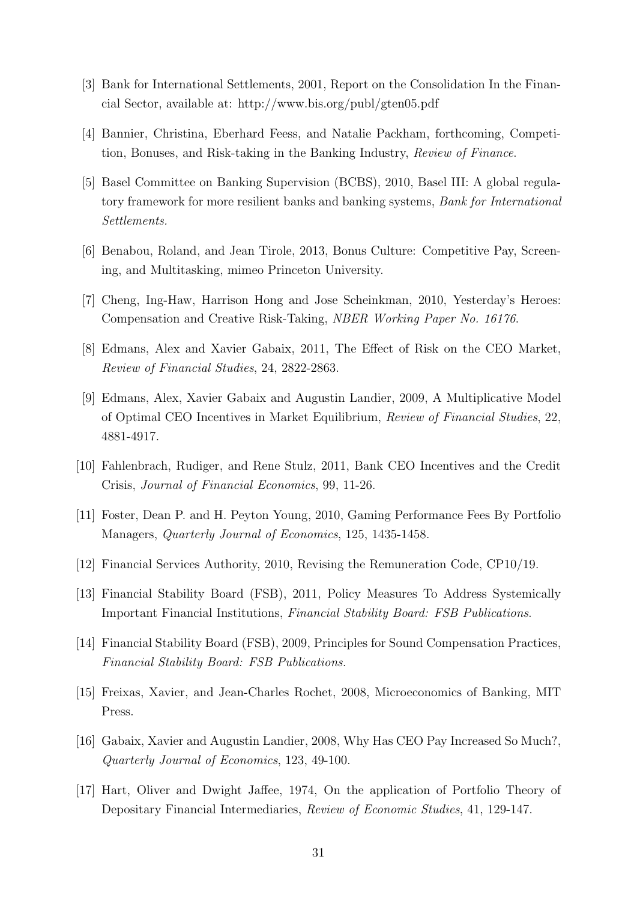- [3] Bank for International Settlements, 2001, Report on the Consolidation In the Financial Sector, available at: http://www.bis.org/publ/gten05.pdf
- [4] Bannier, Christina, Eberhard Feess, and Natalie Packham, forthcoming, Competition, Bonuses, and Risk-taking in the Banking Industry, Review of Finance.
- [5] Basel Committee on Banking Supervision (BCBS), 2010, Basel III: A global regulatory framework for more resilient banks and banking systems, Bank for International Settlements.
- [6] Benabou, Roland, and Jean Tirole, 2013, Bonus Culture: Competitive Pay, Screening, and Multitasking, mimeo Princeton University.
- [7] Cheng, Ing-Haw, Harrison Hong and Jose Scheinkman, 2010, Yesterday's Heroes: Compensation and Creative Risk-Taking, NBER Working Paper No. 16176.
- [8] Edmans, Alex and Xavier Gabaix, 2011, The Effect of Risk on the CEO Market, Review of Financial Studies, 24, 2822-2863.
- [9] Edmans, Alex, Xavier Gabaix and Augustin Landier, 2009, A Multiplicative Model of Optimal CEO Incentives in Market Equilibrium, Review of Financial Studies, 22, 4881-4917.
- [10] Fahlenbrach, Rudiger, and Rene Stulz, 2011, Bank CEO Incentives and the Credit Crisis, Journal of Financial Economics, 99, 11-26.
- [11] Foster, Dean P. and H. Peyton Young, 2010, Gaming Performance Fees By Portfolio Managers, *Quarterly Journal of Economics*, 125, 1435-1458.
- [12] Financial Services Authority, 2010, Revising the Remuneration Code, CP10/19.
- [13] Financial Stability Board (FSB), 2011, Policy Measures To Address Systemically Important Financial Institutions, Financial Stability Board: FSB Publications.
- [14] Financial Stability Board (FSB), 2009, Principles for Sound Compensation Practices, Financial Stability Board: FSB Publications.
- [15] Freixas, Xavier, and Jean-Charles Rochet, 2008, Microeconomics of Banking, MIT Press.
- [16] Gabaix, Xavier and Augustin Landier, 2008, Why Has CEO Pay Increased So Much?, Quarterly Journal of Economics, 123, 49-100.
- [17] Hart, Oliver and Dwight Jaffee, 1974, On the application of Portfolio Theory of Depositary Financial Intermediaries, Review of Economic Studies, 41, 129-147.